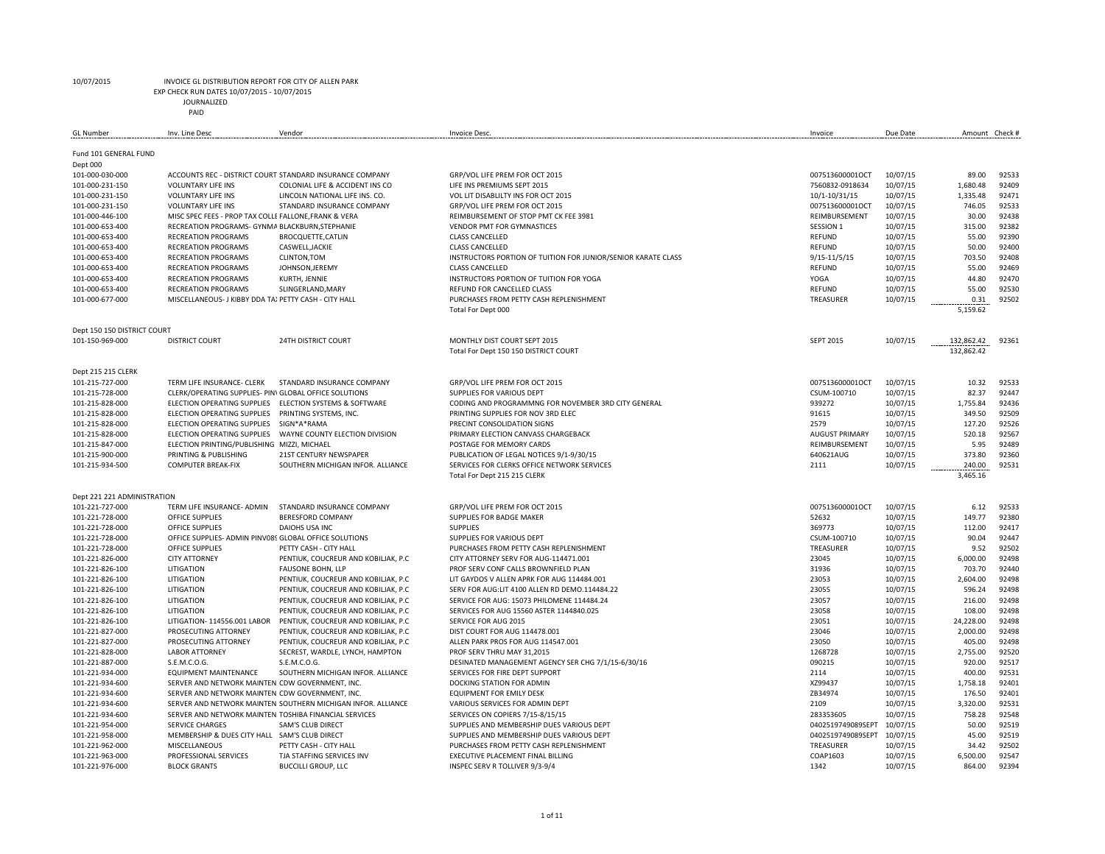EXP CHECK RUN DATES 10/07/2015 - 10/07/2015

JOURNALIZED

PAID

| <b>GL Number</b>                               | Inv. Line Desc                                         | Vendor                                                        | <b>Invoice Desc</b>                                           | Invoice                  | Due Date | Amount Check # |                |
|------------------------------------------------|--------------------------------------------------------|---------------------------------------------------------------|---------------------------------------------------------------|--------------------------|----------|----------------|----------------|
|                                                |                                                        |                                                               |                                                               |                          |          |                |                |
| Fund 101 GENERAL FUND                          |                                                        |                                                               |                                                               |                          |          |                |                |
| Dept 000                                       |                                                        |                                                               |                                                               |                          |          |                |                |
| 101-000-030-000                                |                                                        | ACCOUNTS REC - DISTRICT COURT STANDARD INSURANCE COMPANY      | GRP/VOL LIFE PREM FOR OCT 2015                                | 007513600001OCT          | 10/07/15 | 89.00          | 92533          |
| 101-000-231-150                                | <b>VOLUNTARY LIFE INS</b>                              | COLONIAL LIFE & ACCIDENT INS CO                               | LIFE INS PREMIUMS SEPT 2015                                   | 7560832-0918634          | 10/07/15 | 1,680.48       | 92409          |
| 101-000-231-150                                | <b>VOLUNTARY LIFE INS</b>                              | LINCOLN NATIONAL LIFE INS. CO.                                | VOL LIT DISABLILTY INS FOR OCT 2015                           | 10/1-10/31/15            | 10/07/15 | 1,335.48       | 92471          |
| 101-000-231-150                                | <b>VOLUNTARY LIFE INS</b>                              | STANDARD INSURANCE COMPANY                                    | GRP/VOL LIFE PREM FOR OCT 2015                                | 007513600001OCT          | 10/07/15 | 746.05         | 92533          |
| 101-000-446-100                                | MISC SPEC FEES - PROP TAX COLLE FALLONE, FRANK & VERA  |                                                               | REIMBURSEMENT OF STOP PMT CK FEE 3981                         | REIMBURSEMENT            | 10/07/15 | 30.00          | 92438          |
| 101-000-653-400                                | RECREATION PROGRAMS- GYNMA BLACKBURN, STEPHANIE        |                                                               | VENDOR PMT FOR GYMNASTICES                                    | SESSION 1                | 10/07/15 | 315.00         | 92382          |
| 101-000-653-400                                | <b>RECREATION PROGRAMS</b>                             | BROCQUETTE, CATLIN                                            | <b>CLASS CANCELLED</b>                                        | <b>REFUND</b>            | 10/07/15 | 55.00          | 92390          |
| 101-000-653-400                                | <b>RECREATION PROGRAMS</b>                             | CASWELL, JACKIE                                               | <b>CLASS CANCELLED</b>                                        | REFUND                   | 10/07/15 | 50.00          | 92400          |
| 101-000-653-400                                | <b>RECREATION PROGRAMS</b>                             | <b>CLINTON, TOM</b>                                           | INSTRUCTORS PORTION OF TUITION FOR JUNIOR/SENIOR KARATE CLASS | $9/15 - 11/5/15$         | 10/07/15 | 703.50         | 92408          |
| 101-000-653-400                                | RECREATION PROGRAMS                                    | JOHNSON, JEREMY                                               | <b>CLASS CANCELLED</b>                                        | REFUND                   | 10/07/15 | 55.00          | 92469          |
| 101-000-653-400                                | <b>RECREATION PROGRAMS</b>                             | KURTH, JENNIE                                                 | INSTRUCTORS PORTION OF TUITION FOR YOGA                       | YOGA                     | 10/07/15 | 44.80          | 92470          |
| 101-000-653-400                                | <b>RECREATION PROGRAMS</b>                             | SLINGERLAND, MARY                                             | REFUND FOR CANCELLED CLASS                                    | REFUND                   | 10/07/15 | 55.00          | 92530          |
| 101-000-677-000                                | MISCELLANEOUS- J KIBBY DDA TA) PETTY CASH - CITY HALL  |                                                               | PURCHASES FROM PETTY CASH REPLENISHMENT                       | TREASURER                | 10/07/15 | 0.31           | 92502          |
|                                                |                                                        |                                                               | Total For Dept 000                                            |                          |          | 5,159.62       |                |
|                                                |                                                        |                                                               |                                                               |                          |          |                |                |
| Dept 150 150 DISTRICT COURT                    |                                                        |                                                               |                                                               |                          |          |                |                |
| 101-150-969-000                                | <b>DISTRICT COURT</b>                                  | <b>24TH DISTRICT COURT</b>                                    | MONTHLY DIST COURT SEPT 2015                                  | <b>SEPT 2015</b>         | 10/07/15 | 132,862.42     | 92361          |
|                                                |                                                        |                                                               | Total For Dept 150 150 DISTRICT COURT                         |                          |          | 132,862.42     |                |
|                                                |                                                        |                                                               |                                                               |                          |          |                |                |
| Dept 215 215 CLERK                             |                                                        |                                                               |                                                               |                          |          |                |                |
| 101-215-727-000                                | TERM LIFE INSURANCE- CLERK                             | STANDARD INSURANCE COMPANY                                    | GRP/VOL LIFE PREM FOR OCT 2015                                | 007513600001OCT          | 10/07/15 | 10.32          | 92533          |
| 101-215-728-000                                | CLERK/OPERATING SUPPLIES- PIN\ GLOBAL OFFICE SOLUTIONS |                                                               | SUPPLIES FOR VARIOUS DEPT                                     | CSUM-100710              | 10/07/15 | 82.37          | 92447          |
| 101-215-828-000                                | ELECTION OPERATING SUPPLIES                            | <b>ELECTION SYSTEMS &amp; SOFTWARE</b>                        | CODING AND PROGRAMMNG FOR NOVEMBER 3RD CITY GENERAL           | 939272                   | 10/07/15 | 1,755.84       | 92436          |
| 101-215-828-000                                | ELECTION OPERATING SUPPLIES                            | PRINTING SYSTEMS, INC.                                        | PRINTING SUPPLIES FOR NOV 3RD ELEC                            | 91615                    | 10/07/15 | 349.50         | 92509          |
| 101-215-828-000                                | ELECTION OPERATING SUPPLIES                            | SIGN*A*RAMA                                                   | PRECINT CONSOLIDATION SIGNS                                   | 2579                     | 10/07/15 | 127.20         | 92526          |
| 101-215-828-000                                | ELECTION OPERATING SUPPLIES                            | WAYNE COUNTY ELECTION DIVISION                                | PRIMARY ELECTION CANVASS CHARGEBACK                           | <b>AUGUST PRIMARY</b>    | 10/07/15 | 520.18         | 92567          |
| 101-215-847-000                                | ELECTION PRINTING/PUBLISHING MIZZI, MICHAEL            |                                                               | POSTAGE FOR MEMORY CARDS                                      | REIMBURSEMENT            | 10/07/15 | 5.95           | 92489          |
| 101-215-900-000                                | PRINTING & PUBLISHING                                  | 21ST CENTURY NEWSPAPER                                        | PUBLICATION OF LEGAL NOTICES 9/1-9/30/15                      | 640621AUG                | 10/07/15 | 373.80         | 92360          |
| 101-215-934-500                                | <b>COMPUTER BREAK-FIX</b>                              | SOUTHERN MICHIGAN INFOR. ALLIANCE                             | SERVICES FOR CLERKS OFFICE NETWORK SERVICES                   | 2111                     | 10/07/15 | 240.00         | 92531          |
|                                                |                                                        |                                                               | Total For Dept 215 215 CLERK                                  |                          |          | 3,465.16       |                |
|                                                |                                                        |                                                               |                                                               |                          |          |                |                |
| Dept 221 221 ADMINISTRATION<br>101-221-727-000 | TERM LIFE INSURANCE- ADMIN                             | STANDARD INSURANCE COMPANY                                    | GRP/VOL LIFE PREM FOR OCT 2015                                |                          |          | 6.12           | 92533          |
| 101-221-728-000                                | OFFICE SUPPLIES                                        | <b>BERESFORD COMPANY</b>                                      | SUPPLIES FOR BADGE MAKER                                      | 007513600001OCT<br>52632 | 10/07/15 | 149.77         | 92380          |
|                                                |                                                        |                                                               |                                                               |                          | 10/07/15 |                |                |
| 101-221-728-000                                | <b>OFFICE SUPPLIES</b>                                 | DAIOHS USA INC                                                | <b>SUPPLIES</b>                                               | 369773                   | 10/07/15 | 112.00         | 92417          |
| 101-221-728-000                                | OFFICE SUPPLIES- ADMIN PINVO8S GLOBAL OFFICE SOLUTIONS |                                                               | SUPPLIES FOR VARIOUS DEPT                                     | CSUM-100710              | 10/07/15 | 90.04          | 92447<br>92502 |
| 101-221-728-000                                | OFFICE SUPPLIES                                        | PETTY CASH - CITY HALL                                        | PURCHASES FROM PETTY CASH REPLENISHMENT                       | TREASURER                | 10/07/15 | 9.52           |                |
| 101-221-826-000                                | <b>CITY ATTORNEY</b>                                   | PENTIUK, COUCREUR AND KOBILJAK, P.C.                          | CITY ATTORNEY SERV FOR AUG-114471.001                         | 23045                    | 10/07/15 | 6,000.00       | 92498          |
| 101-221-826-100                                | LITIGATION                                             | FAUSONE BOHN, LLP                                             | PROF SERV CONF CALLS BROWNFIELD PLAN                          | 31936                    | 10/07/15 | 703.70         | 92440          |
| 101-221-826-100                                | LITIGATION                                             | PENTIUK, COUCREUR AND KOBILJAK, P.C.                          | LIT GAYDOS V ALLEN APRK FOR AUG 114484.001                    | 23053                    | 10/07/15 | 2,604.00       | 92498          |
| 101-221-826-100                                | LITIGATION                                             | PENTIUK, COUCREUR AND KOBILJAK, P.C.                          | SERV FOR AUG:LIT 4100 ALLEN RD DEMO.114484.22                 | 23055                    | 10/07/15 | 596.24         | 92498          |
| 101-221-826-100                                | LITIGATION                                             | PENTIUK, COUCREUR AND KOBILJAK, P.C.                          | SERVICE FOR AUG: 15073 PHILOMENE 114484.24                    | 23057                    | 10/07/15 | 216.00         | 92498          |
| 101-221-826-100                                | LITIGATION                                             | PENTIUK, COUCREUR AND KOBILJAK, P.C.                          | SERVICES FOR AUG 15560 ASTER 1144840.025                      | 23058                    | 10/07/15 | 108.00         | 92498          |
| 101-221-826-100                                | LITIGATION-114556.001 LABOR                            | PENTIUK, COUCREUR AND KOBILJAK, P.C.                          | SERVICE FOR AUG 2015                                          | 23051                    | 10/07/15 | 24,228.00      | 92498          |
| 101-221-827-000                                | PROSECUTING ATTORNEY                                   | PENTIUK, COUCREUR AND KOBILJAK, P.C.                          | DIST COURT FOR AUG 114478.001                                 | 23046                    | 10/07/15 | 2,000.00       | 92498          |
| 101-221-827-000                                | PROSECUTING ATTORNEY                                   | PENTIUK, COUCREUR AND KOBILJAK, P.C.                          | ALLEN PARK PROS FOR AUG 114547.001                            | 23050                    | 10/07/15 | 405.00         | 92498          |
| 101-221-828-000                                | <b>LABOR ATTORNEY</b>                                  | SECREST, WARDLE, LYNCH, HAMPTON                               | PROF SERV THRU MAY 31,2015                                    | 1268728                  | 10/07/15 | 2,755.00       | 92520          |
| 101-221-887-000                                | S.E.M.C.O.G.                                           | S.E.M.C.O.G.                                                  | DESINATED MANAGEMENT AGENCY SER CHG 7/1/15-6/30/16            | 090215                   | 10/07/15 | 920.00         | 92517          |
| 101-221-934-000                                | <b>EQUIPMENT MAINTENANCE</b>                           | SOUTHERN MICHIGAN INFOR. ALLIANCE                             | SERVICES FOR FIRE DEPT SUPPORT                                | 2114                     | 10/07/15 | 400.00         | 92531          |
| 101-221-934-600                                | SERVER AND NETWORK MAINTEN. CDW GOVERNMENT, INC.       |                                                               | DOCKING STATION FOR ADMIN                                     | XZ99437                  | 10/07/15 | 1,758.18       | 92401          |
| 101-221-934-600                                | SERVER AND NETWORK MAINTEN. CDW GOVERNMENT, INC.       |                                                               | <b>EQUIPMENT FOR EMILY DESK</b>                               | ZB34974                  | 10/07/15 | 176.50         | 92401          |
| 101-221-934-600                                |                                                        | SERVER AND NETWORK MAINTEN, SOUTHERN MICHIGAN INFOR. ALLIANCE | VARIOUS SERVICES FOR ADMIN DEPT                               | 2109                     | 10/07/15 | 3,320.00       | 92531          |
| 101-221-934-600                                | SERVER AND NETWORK MAINTEN. TOSHIBA FINANCIAL SERVICES |                                                               | SERVICES ON COPIERS 7/15-8/15/15                              | 283353605                | 10/07/15 | 758.28         | 92548          |
| 101-221-954-000                                | <b>SERVICE CHARGES</b>                                 | SAM'S CLUB DIRECT                                             | SUPPLIES AND MEMBERSHIP DUES VARIOUS DEPT                     | 0402519749089SEPT        | 10/07/15 | 50.00          | 92519          |
| 101-221-958-000                                | MEMBERSHIP & DUES CITY HALL SAM'S CLUB DIRECT          |                                                               | SUPPLIES AND MEMBERSHIP DUES VARIOUS DEPT                     | 0402519749089SEPT        | 10/07/15 | 45.00          | 92519          |
| 101-221-962-000                                | <b>MISCELLANEOUS</b>                                   | PETTY CASH - CITY HALL                                        | PURCHASES FROM PETTY CASH REPLENISHMENT                       | TREASURER                | 10/07/15 | 34.42          | 92502          |
| 101-221-963-000                                | PROFESSIONAL SERVICES                                  | TJA STAFFING SERVICES INV                                     | EXECUTIVE PLACEMENT FINAL BILLING                             | COAP1603                 | 10/07/15 | 6,500.00       | 92547          |
| 101-221-976-000                                | <b>BLOCK GRANTS</b>                                    | <b>BUCCILLI GROUP, LLC</b>                                    | INSPEC SERV R TOLLIVER 9/3-9/4                                | 1342                     | 10/07/15 | 864.00         | 92394          |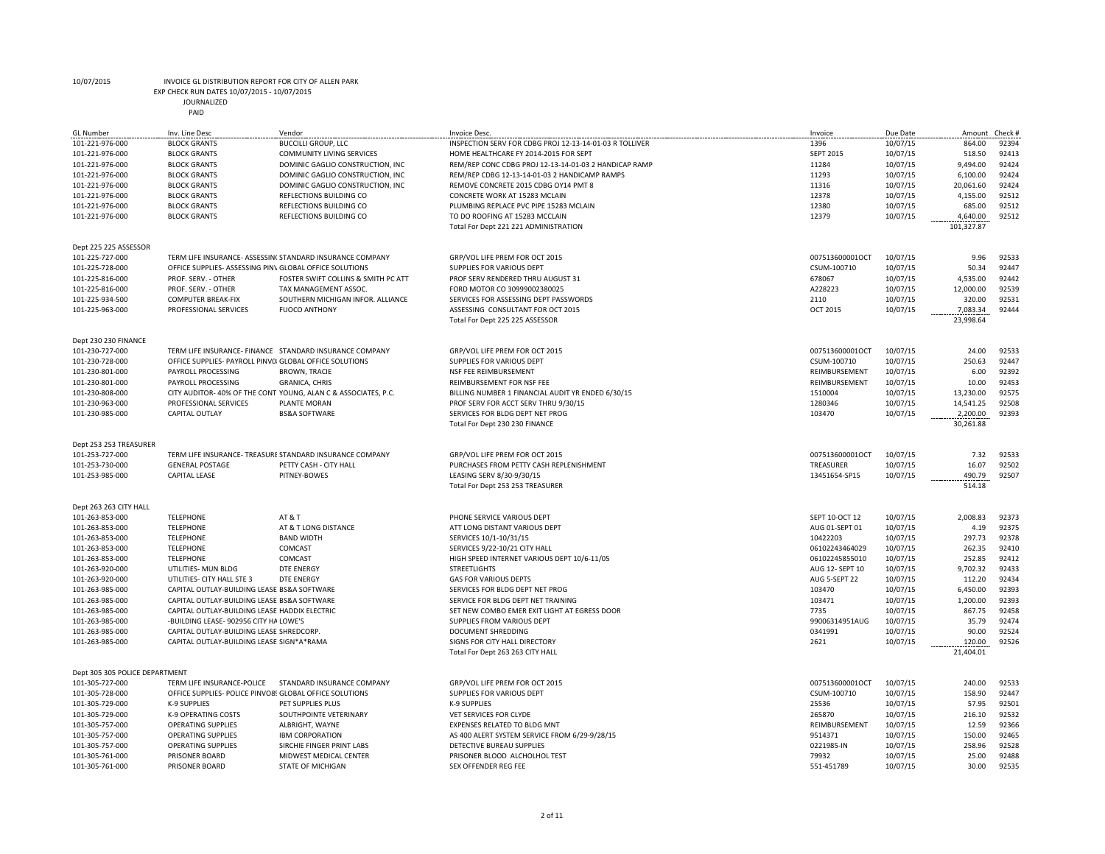EXP CHECK RUN DATES 10/07/2015 - 10/07/2015

| <b>GL Number</b>               | Inv. Line Desc                                          | Vendor                                                          | <b>Invoice Desc</b>                                                                   | Invoice          | Due Date | Amount     | Check #        |
|--------------------------------|---------------------------------------------------------|-----------------------------------------------------------------|---------------------------------------------------------------------------------------|------------------|----------|------------|----------------|
| 101-221-976-000                | <b>BLOCK GRANTS</b>                                     | <b>BUCCILLI GROUP, LLC</b>                                      | INSPECTION SERV FOR CDBG PROJ 12-13-14-01-03 R TOLLIVER                               | 1396             | 10/07/15 | 864.00     | 92394          |
| 101-221-976-000                | <b>BLOCK GRANTS</b>                                     | <b>COMMUNITY LIVING SERVICES</b>                                | HOME HEALTHCARE FY 2014-2015 FOR SEPT                                                 | <b>SEPT 2015</b> | 10/07/15 | 518.50     | 92413          |
|                                |                                                         | DOMINIC GAGLIO CONSTRUCTION, INC                                | REM/REP CONC CDBG PROJ 12-13-14-01-03 2 HANDICAP RAMP                                 | 11284            |          | 9,494.00   | 92424          |
| 101-221-976-000                | <b>BLOCK GRANTS</b>                                     |                                                                 |                                                                                       |                  | 10/07/15 |            |                |
| 101-221-976-000                | <b>BLOCK GRANTS</b>                                     | DOMINIC GAGLIO CONSTRUCTION, INC                                | REM/REP CDBG 12-13-14-01-03 2 HANDICAMP RAMPS<br>REMOVE CONCRETE 2015 CDBG OY14 PMT 8 | 11293<br>11316   | 10/07/15 | 6,100.00   | 92424<br>92424 |
| 101-221-976-000                | <b>BLOCK GRANTS</b>                                     | DOMINIC GAGLIO CONSTRUCTION, INC                                |                                                                                       |                  | 10/07/15 | 20,061.60  |                |
| 101-221-976-000                | <b>BLOCK GRANTS</b>                                     | REFLECTIONS BUILDING CO                                         | CONCRETE WORK AT 15283 MCLAIN                                                         | 12378            | 10/07/15 | 4,155.00   | 92512          |
| 101-221-976-000                | <b>BLOCK GRANTS</b>                                     | REFLECTIONS BUILDING CO                                         | PLUMBING REPLACE PVC PIPE 15283 MCLAIN                                                | 12380            | 10/07/15 | 685.00     | 92512          |
| 101-221-976-000                | <b>BLOCK GRANTS</b>                                     | REFLECTIONS BUILDING CO                                         | TO DO ROOFING AT 15283 MCCLAIN                                                        | 12379            | 10/07/15 | 4,640.00   | 92512          |
|                                |                                                         |                                                                 | Total For Dept 221 221 ADMINISTRATION                                                 |                  |          | 101,327.87 |                |
|                                |                                                         |                                                                 |                                                                                       |                  |          |            |                |
| Dept 225 225 ASSESSOR          |                                                         |                                                                 |                                                                                       |                  |          |            |                |
| 101-225-727-000                |                                                         | TERM LIFE INSURANCE- ASSESSIN( STANDARD INSURANCE COMPANY       | GRP/VOL LIFE PREM FOR OCT 2015                                                        | 007513600001OCT  | 10/07/15 | 9.96       | 92533          |
| 101-225-728-000                | OFFICE SUPPLIES- ASSESSING PINV GLOBAL OFFICE SOLUTIONS |                                                                 | SUPPLIES FOR VARIOUS DEPT                                                             | CSUM-100710      | 10/07/15 | 50.34      | 92447          |
| 101-225-816-000                | PROF. SERV. - OTHER                                     | FOSTER SWIFT COLLINS & SMITH PC ATT                             | PROF SERV RENDERED THRU AUGUST 31                                                     | 678067           | 10/07/15 | 4,535.00   | 92442          |
| 101-225-816-000                | PROF. SERV. - OTHER                                     | TAX MANAGEMENT ASSOC.                                           | FORD MOTOR CO 30999002380025                                                          | A228223          | 10/07/15 | 12,000.00  | 92539          |
| 101-225-934-500                | <b>COMPUTER BREAK-FIX</b>                               | SOUTHERN MICHIGAN INFOR. ALLIANCE                               | SERVICES FOR ASSESSING DEPT PASSWORDS                                                 | 2110             | 10/07/15 | 320.00     | 92531          |
| 101-225-963-000                | PROFESSIONAL SERVICES                                   | <b>FUOCO ANTHONY</b>                                            | ASSESSING CONSULTANT FOR OCT 2015                                                     | <b>OCT 2015</b>  | 10/07/15 | 7,083.34   | 92444          |
|                                |                                                         |                                                                 | Total For Dept 225 225 ASSESSOR                                                       |                  |          | 23,998.64  |                |
|                                |                                                         |                                                                 |                                                                                       |                  |          |            |                |
| Dept 230 230 FINANCE           |                                                         |                                                                 |                                                                                       |                  |          |            |                |
| 101-230-727-000                |                                                         | TERM LIFE INSURANCE- FINANCE STANDARD INSURANCE COMPANY         | GRP/VOL LIFE PREM FOR OCT 2015                                                        | 007513600001OCT  | 10/07/15 | 24.00      | 92533          |
| 101-230-728-000                | OFFICE SUPPLIES- PAYROLL PINV0I GLOBAL OFFICE SOLUTIONS |                                                                 | SUPPLIES FOR VARIOUS DEPT                                                             | CSUM-100710      | 10/07/15 | 250.63     | 92447          |
| 101-230-801-000                | PAYROLL PROCESSING                                      | <b>BROWN, TRACIE</b>                                            | NSF FEE REIMBURSEMENT                                                                 | REIMBURSEMENT    | 10/07/15 | 6.00       | 92392          |
| 101-230-801-000                | PAYROLL PROCESSING                                      | GRANICA, CHRIS                                                  | REIMBURSEMENT FOR NSF FEE                                                             | REIMBURSEMENT    | 10/07/15 | 10.00      | 92453          |
| 101-230-808-000                |                                                         | CITY AUDITOR- 40% OF THE CONTI YOUNG, ALAN C & ASSOCIATES, P.C. | BILLING NUMBER 1 FINANCIAL AUDIT YR ENDED 6/30/15                                     | 1510004          | 10/07/15 | 13,230.00  | 92575          |
| 101-230-963-000                | PROFESSIONAL SERVICES                                   | <b>PLANTE MORAN</b>                                             | PROF SERV FOR ACCT SERV THRU 9/30/15                                                  | 1280346          | 10/07/15 | 14.541.25  | 92508          |
| 101-230-985-000                | <b>CAPITAL OUTLAY</b>                                   | <b>BS&amp;A SOFTWARE</b>                                        | SERVICES FOR BLDG DEPT NET PROG                                                       | 103470           | 10/07/15 | 2,200.00   | 92393          |
|                                |                                                         |                                                                 | Total For Dept 230 230 FINANCE                                                        |                  |          | 30,261.88  |                |
|                                |                                                         |                                                                 |                                                                                       |                  |          |            |                |
| Dept 253 253 TREASURER         |                                                         |                                                                 |                                                                                       |                  |          |            |                |
| 101-253-727-000                |                                                         | TERM LIFE INSURANCE- TREASURE STANDARD INSURANCE COMPANY        | GRP/VOL LIFE PREM FOR OCT 2015                                                        | 007513600001OCT  | 10/07/15 | 7.32       | 92533          |
| 101-253-730-000                | <b>GENERAL POSTAGE</b>                                  | PETTY CASH - CITY HALL                                          | PURCHASES FROM PETTY CASH REPLENISHMENT                                               | TREASURER        | 10/07/15 | 16.07      | 92502          |
| 101-253-985-000                | <b>CAPITAL LEASE</b>                                    | PITNEY-BOWES                                                    | LEASING SERV 8/30-9/30/15                                                             | 13451654-SP15    | 10/07/15 | 490.79     | 92507          |
|                                |                                                         |                                                                 | Total For Dept 253 253 TREASURER                                                      |                  |          | 514.18     |                |
|                                |                                                         |                                                                 |                                                                                       |                  |          |            |                |
| Dept 263 263 CITY HALL         |                                                         | AT&T                                                            | PHONE SERVICE VARIOUS DEPT                                                            |                  |          |            | 92373          |
| 101-263-853-000                | <b>TELEPHONE</b>                                        |                                                                 |                                                                                       | SEPT 10-OCT 12   | 10/07/15 | 2,008.83   |                |
| 101-263-853-000                | <b>TELEPHONE</b>                                        | AT & T LONG DISTANCE                                            | ATT LONG DISTANT VARIOUS DEPT                                                         | AUG 01-SEPT 01   | 10/07/15 | 4.19       | 92375          |
| 101-263-853-000                | <b>TELEPHONE</b>                                        | <b>BAND WIDTH</b>                                               | SERVICES 10/1-10/31/15                                                                | 10422203         | 10/07/15 | 297.73     | 92378          |
| 101-263-853-000                | <b>TELEPHONE</b>                                        | COMCAST                                                         | SERVICES 9/22-10/21 CITY HALL                                                         | 06102243464029   | 10/07/15 | 262.35     | 92410          |
| 101-263-853-000                | <b>TELEPHONE</b>                                        | COMCAST                                                         | HIGH SPEED INTERNET VARIOUS DEPT 10/6-11/05                                           | 06102245855010   | 10/07/15 | 252.85     | 92412          |
| 101-263-920-000                | UTILITIES- MUN BLDG                                     | <b>DTE ENERGY</b>                                               | <b>STREETLIGHTS</b>                                                                   | AUG 12- SEPT 10  | 10/07/15 | 9,702.32   | 92433          |
| 101-263-920-000                | UTILITIES- CITY HALL STE 3                              | <b>DTE ENERGY</b>                                               | <b>GAS FOR VARIOUS DEPTS</b>                                                          | AUG 5-SEPT 22    | 10/07/15 | 112.20     | 92434          |
| 101-263-985-000                | CAPITAL OUTLAY-BUILDING LEASE BS&A SOFTWARE             |                                                                 | SERVICES FOR BLDG DEPT NET PROG                                                       | 103470           | 10/07/15 | 6,450.00   | 92393          |
| 101-263-985-000                | CAPITAL OUTLAY-BUILDING LEASE BS&A SOFTWARE             |                                                                 | SERVICE FOR BLDG DEPT NET TRAINING                                                    | 103471           | 10/07/15 | 1,200.00   | 92393          |
| 101-263-985-000                | CAPITAL OUTLAY-BUILDING LEASE HADDIX ELECTRIC           |                                                                 | SET NEW COMBO EMER EXIT LIGHT AT EGRESS DOOR                                          | 7735             | 10/07/15 | 867.75     | 92458          |
| 101-263-985-000                | -BUILDING LEASE- 902956 CITY HA LOWE'S                  |                                                                 | SUPPLIES FROM VARIOUS DEPT                                                            | 99006314951AUG   | 10/07/15 | 35.79      | 92474          |
| 101-263-985-000                | CAPITAL OUTLAY-BUILDING LEASE SHREDCORP.                |                                                                 | DOCUMENT SHREDDING                                                                    | 0341991          | 10/07/15 | 90.00      | 92524          |
| 101-263-985-000                | CAPITAL OUTLAY-BUILDING LEASE SIGN*A*RAMA               |                                                                 | SIGNS FOR CITY HALL DIRECTORY                                                         | 2621             | 10/07/15 | 120.00     | 92526          |
|                                |                                                         |                                                                 | Total For Dept 263 263 CITY HALL                                                      |                  |          | 21,404.01  |                |
|                                |                                                         |                                                                 |                                                                                       |                  |          |            |                |
| Dept 305 305 POLICE DEPARTMENT |                                                         |                                                                 |                                                                                       |                  |          |            |                |
| 101-305-727-000                | TERM LIFE INSURANCE-POLICE                              | STANDARD INSURANCE COMPANY                                      | GRP/VOL LIFE PREM FOR OCT 2015                                                        | 007513600001OCT  | 10/07/15 | 240.00     | 92533          |
| 101-305-728-000                | OFFICE SUPPLIES- POLICE PINVO8! GLOBAL OFFICE SOLUTIONS |                                                                 | SUPPLIES FOR VARIOUS DEPT                                                             | CSUM-100710      | 10/07/15 | 158.90     | 92447          |
| 101-305-729-000                | <b>K-9 SUPPLIES</b>                                     | PET SUPPLIES PLUS                                               | K-9 SUPPLIES                                                                          | 25536            | 10/07/15 | 57.95      | 92501          |
| 101-305-729-000                | K-9 OPERATING COSTS                                     | SOUTHPOINTE VETERINARY                                          | VET SERVICES FOR CLYDE                                                                | 265870           | 10/07/15 | 216.10     | 92532          |
| 101-305-757-000                | <b>OPERATING SUPPLIES</b>                               | ALBRIGHT, WAYNE                                                 | EXPENSES RELATED TO BLDG MNT                                                          | REIMBURSEMENT    | 10/07/15 | 12.59      | 92366          |
| 101-305-757-000                | <b>OPERATING SUPPLIES</b>                               | <b>IBM CORPORATION</b>                                          | AS 400 ALERT SYSTEM SERVICE FROM 6/29-9/28/15                                         | 9514371          | 10/07/15 | 150.00     | 92465          |
| 101-305-757-000                | <b>OPERATING SUPPLIES</b>                               | SIRCHIE FINGER PRINT LABS                                       | DETECTIVE BUREAU SUPPLIES                                                             | 0221985-IN       | 10/07/15 | 258.96     | 92528          |
| 101-305-761-000                | PRISONER BOARD                                          | MIDWEST MEDICAL CENTER                                          | PRISONER BLOOD ALCHOLHOL TEST                                                         | 79932            | 10/07/15 | 25.00      | 92488          |
| 101-305-761-000                | PRISONER BOARD                                          | <b>STATE OF MICHIGAN</b>                                        | SEX OFFENDER REG FEE                                                                  | 551-451789       | 10/07/15 | 30.00      | 92535          |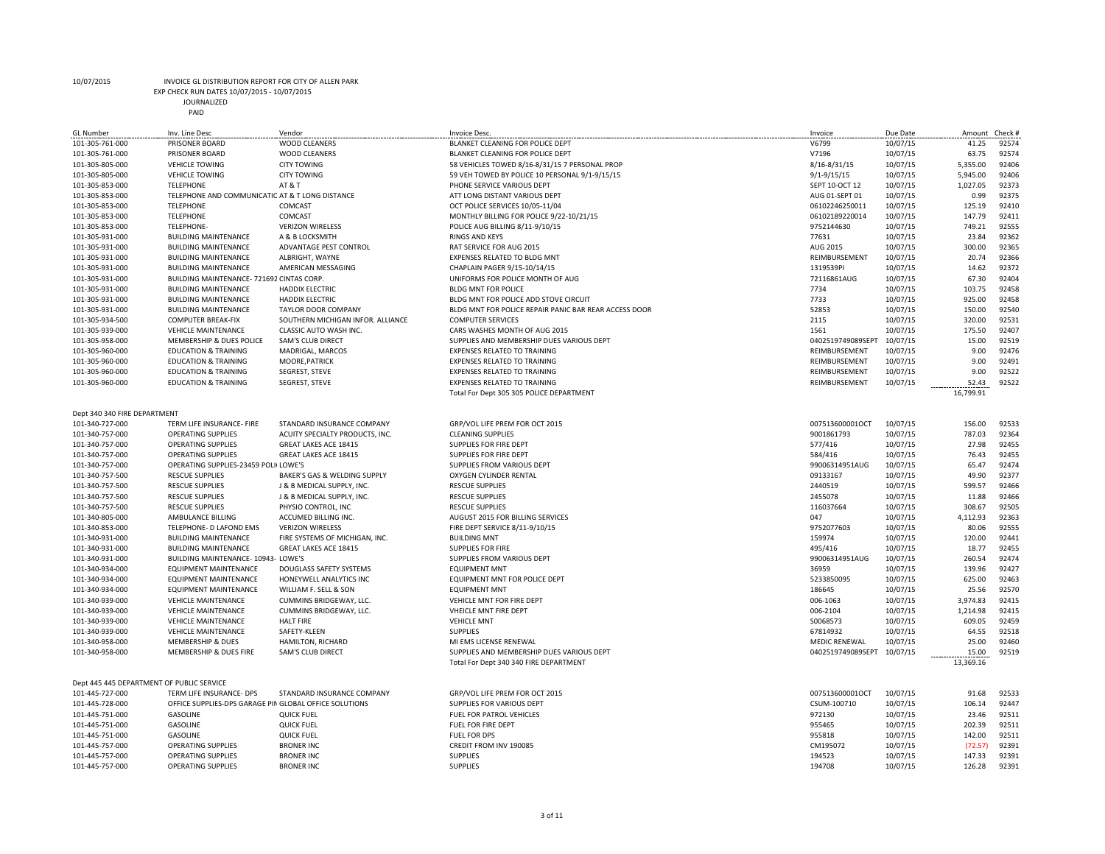EXP CHECK RUN DATES 10/07/2015 - 10/07/2015

JOURNALIZED

| <b>GL Number</b>                          | Inv. Line Desc                                         | Vendor                            | Invoice Desc.                                         | Invoice              | Due Date | Amount    | Check # |
|-------------------------------------------|--------------------------------------------------------|-----------------------------------|-------------------------------------------------------|----------------------|----------|-----------|---------|
| 101-305-761-000                           | PRISONER BOARD                                         | <b>WOOD CLEANERS</b>              | BLANKET CLEANING FOR POLICE DEPT                      | V6799                | 10/07/15 | 41.25     | 92574   |
| 101-305-761-000                           | PRISONER BOARD                                         | <b>WOOD CLEANERS</b>              | BLANKET CLEANING FOR POLICE DEPT                      | V7196                | 10/07/15 | 63.75     | 92574   |
| 101-305-805-000                           | <b>VEHICLE TOWING</b>                                  | <b>CITY TOWING</b>                | 58 VEHICLES TOWED 8/16-8/31/15 7 PERSONAL PROP        | 8/16-8/31/15         | 10/07/15 | 5,355.00  | 92406   |
|                                           |                                                        |                                   |                                                       |                      |          |           | 92406   |
| 101-305-805-000                           | <b>VEHICLE TOWING</b>                                  | <b>CITY TOWING</b>                | 59 VEH TOWED BY POLICE 10 PERSONAL 9/1-9/15/15        | $9/1 - 9/15/15$      | 10/07/15 | 5,945.00  |         |
| 101-305-853-000                           | <b>TELEPHONE</b>                                       | <b>AT &amp; T</b>                 | PHONE SERVICE VARIOUS DEPT                            | SEPT 10-OCT 12       | 10/07/15 | 1,027.05  | 92373   |
| 101-305-853-000                           | TELEPHONE AND COMMUNICATIC AT & T LONG DISTANCE        |                                   | ATT LONG DISTANT VARIOUS DEPT                         | AUG 01-SEPT 01       | 10/07/15 | 0.99      | 92375   |
| 101-305-853-000                           | <b>TELEPHONE</b>                                       | COMCAST                           | OCT POLICE SERVICES 10/05-11/04                       | 06102246250011       | 10/07/15 | 125.19    | 92410   |
| 101-305-853-000                           | <b>TELEPHONE</b>                                       | <b>COMCAST</b>                    | MONTHLY BILLING FOR POLICE 9/22-10/21/15              | 06102189220014       | 10/07/15 | 147.79    | 92411   |
|                                           |                                                        |                                   |                                                       |                      |          |           |         |
| 101-305-853-000                           | TELEPHONE-                                             | <b>VERIZON WIRELESS</b>           | POLICE AUG BILLING 8/11-9/10/15                       | 9752144630           | 10/07/15 | 749.21    | 92555   |
| 101-305-931-000                           | <b>BUILDING MAINTENANCE</b>                            | A & B LOCKSMITH                   | <b>RINGS AND KEYS</b>                                 | 77631                | 10/07/15 | 23.84     | 92362   |
| 101-305-931-000                           | <b>BUILDING MAINTENANCE</b>                            | ADVANTAGE PEST CONTROL            | RAT SERVICE FOR AUG 2015                              | AUG 2015             | 10/07/15 | 300.00    | 92365   |
| 101-305-931-000                           | <b>BUILDING MAINTENANCE</b>                            | ALBRIGHT, WAYNE                   | EXPENSES RELATED TO BLDG MNT                          | REIMBURSEMENT        | 10/07/15 | 20.74     | 92366   |
|                                           |                                                        |                                   |                                                       | 1319539PI            |          | 14.62     | 92372   |
| 101-305-931-000                           | <b>BUILDING MAINTENANCE</b>                            | AMERICAN MESSAGING                | CHAPLAIN PAGER 9/15-10/14/15                          |                      | 10/07/15 |           |         |
| 101-305-931-000                           | BUILDING MAINTENANCE-721692 CINTAS CORP.               |                                   | UNIFORMS FOR POLICE MONTH OF AUG                      | 72116861AUG          | 10/07/15 | 67.30     | 92404   |
| 101-305-931-000                           | <b>BUILDING MAINTENANCE</b>                            | <b>HADDIX ELECTRIC</b>            | <b>BLDG MNT FOR POLICE</b>                            | 7734                 | 10/07/15 | 103.75    | 92458   |
| 101-305-931-000                           | <b>BUILDING MAINTENANCE</b>                            | <b>HADDIX ELECTRIC</b>            | BLDG MNT FOR POLICE ADD STOVE CIRCUIT                 | 7733                 | 10/07/15 | 925.00    | 92458   |
| 101-305-931-000                           | <b>BUILDING MAINTENANCE</b>                            | <b>TAYLOR DOOR COMPANY</b>        | BLDG MNT FOR POLICE REPAIR PANIC BAR REAR ACCESS DOOR | 52853                | 10/07/15 | 150.00    | 92540   |
|                                           |                                                        |                                   |                                                       |                      |          |           |         |
| 101-305-934-500                           | <b>COMPUTER BREAK-FIX</b>                              | SOUTHERN MICHIGAN INFOR. ALLIANCE | <b>COMPUTER SERVICES</b>                              | 2115                 | 10/07/15 | 320.00    | 92531   |
| 101-305-939-000                           | <b>VEHICLE MAINTENANCE</b>                             | CLASSIC AUTO WASH INC.            | CARS WASHES MONTH OF AUG 2015                         | 1561                 | 10/07/15 | 175.50    | 92407   |
| 101-305-958-000                           | MEMBERSHIP & DUES POLICE                               | SAM'S CLUB DIRECT                 | SUPPLIES AND MEMBERSHIP DUES VARIOUS DEPT             | 0402519749089SEPT    | 10/07/15 | 15.00     | 92519   |
| 101-305-960-000                           | <b>EDUCATION &amp; TRAINING</b>                        | MADRIGAL, MARCOS                  | <b>EXPENSES RELATED TO TRAINING</b>                   | REIMBURSEMENT        | 10/07/15 | 9.00      | 92476   |
|                                           |                                                        |                                   |                                                       |                      |          |           |         |
| 101-305-960-000                           | <b>EDUCATION &amp; TRAINING</b>                        | MOORE, PATRICK                    | EXPENSES RELATED TO TRAINING                          | REIMBURSEMENT        | 10/07/15 | 9.00      | 92491   |
| 101-305-960-000                           | <b>EDUCATION &amp; TRAINING</b>                        | <b>SEGREST, STEVE</b>             | <b>EXPENSES RELATED TO TRAINING</b>                   | REIMBURSEMENT        | 10/07/15 | 9.00      | 92522   |
| 101-305-960-000                           | <b>EDUCATION &amp; TRAINING</b>                        | <b>SEGREST, STEVE</b>             | <b>EXPENSES RELATED TO TRAINING</b>                   | REIMBURSEMENT        | 10/07/15 | 52.43     | 92522   |
|                                           |                                                        |                                   | Total For Dept 305 305 POLICE DEPARTMENT              |                      |          | 16,799.91 |         |
|                                           |                                                        |                                   |                                                       |                      |          |           |         |
|                                           |                                                        |                                   |                                                       |                      |          |           |         |
| Dept 340 340 FIRE DEPARTMENT              |                                                        |                                   |                                                       |                      |          |           |         |
| 101-340-727-000                           | TERM LIFE INSURANCE- FIRE                              | STANDARD INSURANCE COMPANY        | GRP/VOL LIFE PREM FOR OCT 2015                        | 007513600001OCT      | 10/07/15 | 156.00    | 92533   |
| 101-340-757-000                           | <b>OPERATING SUPPLIES</b>                              | ACUITY SPECIALTY PRODUCTS, INC.   | <b>CLEANING SUPPLIES</b>                              | 9001861793           | 10/07/15 | 787.03    | 92364   |
| 101-340-757-000                           | <b>OPERATING SUPPLIES</b>                              | GREAT LAKES ACE 18415             | SUPPLIES FOR FIRE DEPT                                | 577/416              | 10/07/15 | 27.98     | 92455   |
| 101-340-757-000                           | OPERATING SUPPLIES                                     | GREAT LAKES ACE 18415             | SUPPLIES FOR FIRE DEPT                                | 584/416              | 10/07/15 | 76.43     | 92455   |
|                                           |                                                        |                                   |                                                       |                      |          |           |         |
| 101-340-757-000                           | OPERATING SUPPLIES-23459 POLI(LOWE'S                   |                                   | SUPPLIES FROM VARIOUS DEPT                            | 99006314951AUG       | 10/07/15 | 65.47     | 92474   |
| 101-340-757-500                           | <b>RESCUE SUPPLIES</b>                                 | BAKER'S GAS & WELDING SUPPLY      | OXYGEN CYLINDER RENTAL                                | 09133167             | 10/07/15 | 49.90     | 92377   |
| 101-340-757-500                           | <b>RESCUE SUPPLIES</b>                                 | J & B MEDICAL SUPPLY, INC.        | <b>RESCUE SUPPLIES</b>                                | 2440519              | 10/07/15 | 599.57    | 92466   |
| 101-340-757-500                           | <b>RESCUE SUPPLIES</b>                                 | J & B MEDICAL SUPPLY, INC.        | <b>RESCUE SUPPLIES</b>                                | 2455078              | 10/07/15 | 11.88     | 92466   |
|                                           |                                                        |                                   |                                                       |                      |          |           |         |
| 101-340-757-500                           | <b>RESCUE SUPPLIES</b>                                 | PHYSIO CONTROL, INC               | <b>RESCUE SUPPLIES</b>                                | 116037664            | 10/07/15 | 308.67    | 92505   |
| 101-340-805-000                           | AMBULANCE BILLING                                      | ACCUMED BILLING INC.              | AUGUST 2015 FOR BILLING SERVICES                      | 047                  | 10/07/15 | 4,112.93  | 92363   |
| 101-340-853-000                           | TELEPHONE- D LAFOND EMS                                | <b>VERIZON WIRELESS</b>           | FIRE DEPT SERVICE 8/11-9/10/15                        | 9752077603           | 10/07/15 | 80.06     | 92555   |
| 101-340-931-000                           | <b>BUILDING MAINTENANCE</b>                            | FIRE SYSTEMS OF MICHIGAN, INC.    | <b>BUILDING MNT</b>                                   | 159974               | 10/07/15 | 120.00    | 92441   |
| 101-340-931-000                           | <b>BUILDING MAINTENANCE</b>                            | GREAT LAKES ACE 18415             | <b>SUPPLIES FOR FIRE</b>                              | 495/416              | 10/07/15 | 18.77     | 92455   |
|                                           |                                                        |                                   |                                                       |                      |          |           |         |
| 101-340-931-000                           | BUILDING MAINTENANCE- 10943- LOWE'S                    |                                   | SUPPLIES FROM VARIOUS DEPT                            | 99006314951AUG       | 10/07/15 | 260.54    | 92474   |
| 101-340-934-000                           | <b>EQUIPMENT MAINTENANCE</b>                           | DOUGLASS SAFETY SYSTEMS           | <b>EQUIPMENT MNT</b>                                  | 36959                | 10/07/15 | 139.96    | 92427   |
| 101-340-934-000                           | <b>EQUIPMENT MAINTENANCE</b>                           | HONEYWELL ANALYTICS INC           | EQUIPMENT MNT FOR POLICE DEPT                         | 5233850095           | 10/07/15 | 625.00    | 92463   |
| 101-340-934-000                           | <b>EQUIPMENT MAINTENANCE</b>                           | WILLIAM F. SELL & SON             | <b>EQUIPMENT MNT</b>                                  | 186645               | 10/07/15 | 25.56     | 92570   |
|                                           |                                                        |                                   |                                                       |                      |          | 3,974.83  | 92415   |
| 101-340-939-000                           | <b>VEHICLE MAINTENANCE</b>                             | CUMMINS BRIDGEWAY, LLC.           | VEHICLE MNT FOR FIRE DEPT                             | 006-1063             | 10/07/15 |           |         |
| 101-340-939-000                           | <b>VEHICLE MAINTENANCE</b>                             | CUMMINS BRIDGEWAY, LLC.           | VHEICLE MNT FIRE DEPT                                 | 006-2104             | 10/07/15 | 1,214.98  | 92415   |
| 101-340-939-000                           | <b>VEHICLE MAINTENANCE</b>                             | <b>HALT FIRE</b>                  | <b>VEHICLE MNT</b>                                    | S0068573             | 10/07/15 | 609.05    | 92459   |
| 101-340-939-000                           | <b>VEHICLE MAINTENANCE</b>                             | SAFETY-KLEEN                      | <b>SUPPLIES</b>                                       | 67814932             | 10/07/15 | 64.55     | 92518   |
| 101-340-958-000                           | <b>MEMBERSHIP &amp; DUES</b>                           | HAMILTON, RICHARD                 | MI EMS LICENSE RENEWAL                                | <b>MEDIC RENEWAL</b> | 10/07/15 | 25.00     | 92460   |
|                                           |                                                        |                                   |                                                       |                      |          |           |         |
| 101-340-958-000                           | MEMBERSHIP & DUES FIRE                                 | SAM'S CLUB DIRECT                 | SUPPLIES AND MEMBERSHIP DUES VARIOUS DEPT             | 0402519749089SEPT    | 10/07/15 | 15.00     | 92519   |
|                                           |                                                        |                                   | Total For Dept 340 340 FIRE DEPARTMENT                |                      |          | 13,369.16 |         |
|                                           |                                                        |                                   |                                                       |                      |          |           |         |
| Dept 445 445 DEPARTMENT OF PUBLIC SERVICE |                                                        |                                   |                                                       |                      |          |           |         |
| 101-445-727-000                           | TERM LIFE INSURANCE- DPS                               | STANDARD INSURANCE COMPANY        | GRP/VOL LIFE PREM FOR OCT 2015                        | 007513600001OCT      | 10/07/15 | 91.68     | 92533   |
|                                           |                                                        |                                   |                                                       |                      |          |           |         |
| 101-445-728-000                           | OFFICE SUPPLIES-DPS GARAGE PIN GLOBAL OFFICE SOLUTIONS |                                   | SUPPLIES FOR VARIOUS DEPT                             | CSUM-100710          | 10/07/15 | 106.14    | 92447   |
| 101-445-751-000                           | <b>GASOLINE</b>                                        | <b>QUICK FUEL</b>                 | FUEL FOR PATROL VEHICLES                              | 972130               | 10/07/15 | 23.46     | 92511   |
| 101-445-751-000                           | <b>GASOLINE</b>                                        | <b>QUICK FUEL</b>                 | FUEL FOR FIRE DEPT                                    | 955465               | 10/07/15 | 202.39    | 92511   |
| 101-445-751-000                           | GASOLINE                                               | <b>QUICK FUEL</b>                 | FUEL FOR DPS                                          | 955818               | 10/07/15 | 142.00    | 92511   |
|                                           |                                                        |                                   |                                                       | CM195072             |          |           | 92391   |
| 101-445-757-000                           | <b>OPERATING SUPPLIES</b>                              | <b>BRONER INC</b>                 | CREDIT FROM INV 190085                                |                      | 10/07/15 | (72.57)   |         |
| 101-445-757-000                           | <b>OPERATING SUPPLIES</b>                              | <b>BRONER INC</b>                 | <b>SUPPLIES</b>                                       | 194523               | 10/07/15 | 147.33    | 92391   |
| 101-445-757-000                           | <b>OPERATING SUPPLIES</b>                              | <b>BRONER INC</b>                 | <b>SUPPLIES</b>                                       | 194708               | 10/07/15 | 126.28    | 92391   |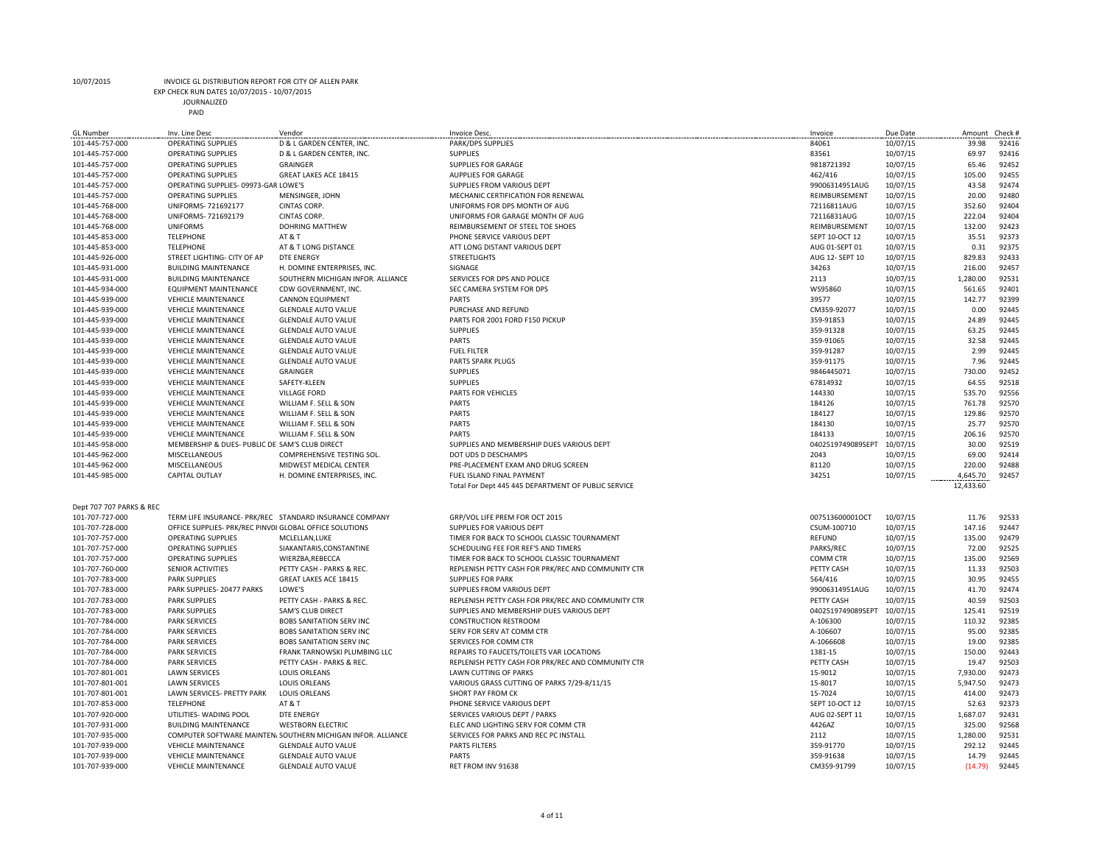EXP CHECK RUN DATES 10/07/2015 - 10/07/2015

JOURNALIZED

| <b>GL Number</b>         | Inv. Line Desc                                          | Vendor                                                       | Invoice Desc.                                       | Invoice           | Due Date | Amount    | Check # |
|--------------------------|---------------------------------------------------------|--------------------------------------------------------------|-----------------------------------------------------|-------------------|----------|-----------|---------|
| 101-445-757-000          | <b>OPERATING SUPPLIES</b>                               | D & L GARDEN CENTER, INC.                                    | PARK/DPS SUPPLIES                                   | 84061             | 10/07/15 | 39.98     | 92416   |
| 101-445-757-000          | <b>OPERATING SUPPLIES</b>                               | D & L GARDEN CENTER, INC.                                    | <b>SUPPLIES</b>                                     | 83561             | 10/07/15 | 69.97     | 92416   |
| 101-445-757-000          | <b>OPERATING SUPPLIES</b>                               | GRAINGER                                                     | <b>SUPPLIES FOR GARAGE</b>                          | 9818721392        | 10/07/15 | 65.46     | 92452   |
| 101-445-757-000          | <b>OPERATING SUPPLIES</b>                               | GREAT LAKES ACE 18415                                        | <b>AUPPLIES FOR GARAGE</b>                          | 462/416           | 10/07/15 | 105.00    | 92455   |
| 101-445-757-000          | OPERATING SUPPLIES-09973-GAR LOWE'S                     |                                                              | SUPPLIES FROM VARIOUS DEPT                          | 99006314951AUG    | 10/07/15 | 43.58     | 92474   |
| 101-445-757-000          | <b>OPERATING SUPPLIES</b>                               | MENSINGER, JOHN                                              | MECHANIC CERTIFICATION FOR RENEWAL                  | REIMBURSEMENT     | 10/07/15 | 20.00     | 92480   |
| 101-445-768-000          | UNIFORMS- 721692177                                     | CINTAS CORP.                                                 | UNIFORMS FOR DPS MONTH OF AUG                       | 72116811AUG       | 10/07/15 | 352.60    | 92404   |
| 101-445-768-000          | UNIFORMS- 721692179                                     | <b>CINTAS CORP.</b>                                          | UNIFORMS FOR GARAGE MONTH OF AUG                    | 72116831AUG       | 10/07/15 | 222.04    | 92404   |
| 101-445-768-000          | <b>UNIFORMS</b>                                         | DOHRING MATTHEW                                              | REIMBURSEMENT OF STEEL TOE SHOES                    | REIMBURSEMENT     | 10/07/15 | 132.00    | 92423   |
| 101-445-853-000          | <b>TELEPHONE</b>                                        | AT&T                                                         | PHONE SERVICE VARIOUS DEPT                          | SEPT 10-OCT 12    | 10/07/15 | 35.51     | 92373   |
| 101-445-853-000          | <b>TELEPHONE</b>                                        | AT & T LONG DISTANCE                                         | ATT LONG DISTANT VARIOUS DEPT                       | AUG 01-SEPT 01    | 10/07/15 | 0.31      | 92375   |
| 101-445-926-000          | STREET LIGHTING- CITY OF AP                             | <b>DTE ENERGY</b>                                            | <b>STREETLIGHTS</b>                                 | AUG 12- SEPT 10   | 10/07/15 | 829.83    | 92433   |
| 101-445-931-000          | <b>BUILDING MAINTENANCE</b>                             | H. DOMINE ENTERPRISES, INC.                                  | SIGNAGE                                             | 34263             | 10/07/15 | 216.00    | 92457   |
| 101-445-931-000          | <b>BUILDING MAINTENANCE</b>                             | SOUTHERN MICHIGAN INFOR. ALLIANCE                            | SERVICES FOR DPS AND POLICE                         | 2113              | 10/07/15 | 1,280.00  | 92531   |
| 101-445-934-000          | <b>EQUIPMENT MAINTENANCE</b>                            | CDW GOVERNMENT, INC.                                         | SEC CAMERA SYSTEM FOR DPS                           | WS95860           | 10/07/15 | 561.65    | 92401   |
| 101-445-939-000          | <b>VEHICLE MAINTENANCE</b>                              | <b>CANNON EQUIPMENT</b>                                      | PARTS                                               | 39577             | 10/07/15 | 142.77    | 92399   |
| 101-445-939-000          | <b>VEHICLE MAINTENANCE</b>                              | <b>GLENDALE AUTO VALUE</b>                                   | PURCHASE AND REFUND                                 | CM359-92077       | 10/07/15 | 0.00      | 92445   |
| 101-445-939-000          | <b>VEHICLE MAINTENANCE</b>                              | <b>GLENDALE AUTO VALUE</b>                                   | PARTS FOR 2001 FORD F150 PICKUP                     | 359-91853         | 10/07/15 | 24.89     | 92445   |
| 101-445-939-000          | <b>VEHICLE MAINTENANCE</b>                              | <b>GLENDALE AUTO VALUE</b>                                   | <b>SUPPLIES</b>                                     | 359-91328         | 10/07/15 | 63.25     | 92445   |
|                          |                                                         |                                                              |                                                     |                   |          |           | 92445   |
| 101-445-939-000          | <b>VEHICLE MAINTENANCE</b>                              | <b>GLENDALE AUTO VALUE</b>                                   | <b>PARTS</b>                                        | 359-91065         | 10/07/15 | 32.58     |         |
| 101-445-939-000          | <b>VEHICLE MAINTENANCE</b>                              | <b>GLENDALE AUTO VALUE</b>                                   | <b>FUEL FILTER</b>                                  | 359-91287         | 10/07/15 | 2.99      | 92445   |
| 101-445-939-000          | <b>VEHICLE MAINTENANCE</b>                              | <b>GLENDALE AUTO VALUE</b>                                   | PARTS SPARK PLUGS                                   | 359-91175         | 10/07/15 | 7.96      | 92445   |
| 101-445-939-000          | <b>VEHICLE MAINTENANCE</b>                              | <b>GRAINGER</b>                                              | <b>SUPPLIES</b>                                     | 9846445071        | 10/07/15 | 730.00    | 92452   |
| 101-445-939-000          | <b>VEHICLE MAINTENANCE</b>                              | SAFETY-KLEEN                                                 | <b>SUPPLIES</b>                                     | 67814932          | 10/07/15 | 64.55     | 92518   |
| 101-445-939-000          | <b>VEHICLE MAINTENANCE</b>                              | <b>VILLAGE FORD</b>                                          | PARTS FOR VEHICLES                                  | 144330            | 10/07/15 | 535.70    | 92556   |
| 101-445-939-000          | <b>VEHICLE MAINTENANCE</b>                              | WILLIAM F. SELL & SON                                        | <b>PARTS</b>                                        | 184126            | 10/07/15 | 761.78    | 92570   |
| 101-445-939-000          | <b>VEHICLE MAINTENANCE</b>                              | WILLIAM F. SELL & SON                                        | <b>PARTS</b>                                        | 184127            | 10/07/15 | 129.86    | 92570   |
| 101-445-939-000          | <b>VEHICLE MAINTENANCE</b>                              | WILLIAM F. SELL & SON                                        | <b>PARTS</b>                                        | 184130            | 10/07/15 | 25.77     | 92570   |
| 101-445-939-000          | <b>VEHICLE MAINTENANCE</b>                              | WILLIAM F. SELL & SON                                        | <b>PARTS</b>                                        | 184133            | 10/07/15 | 206.16    | 92570   |
| 101-445-958-000          | MEMBERSHIP & DUES- PUBLIC DEI SAM'S CLUB DIRECT         |                                                              | SUPPLIES AND MEMBERSHIP DUES VARIOUS DEPT           | 0402519749089SEPT | 10/07/15 | 30.00     | 92519   |
| 101-445-962-000          | MISCELLANEOUS                                           | COMPREHENSIVE TESTING SOL.                                   | DOT UDS D DESCHAMPS                                 | 2043              | 10/07/15 | 69.00     | 92414   |
| 101-445-962-000          | MISCELLANEOUS                                           | MIDWEST MEDICAL CENTER                                       | PRE-PLACEMENT EXAM AND DRUG SCREEN                  | 81120             | 10/07/15 | 220.00    | 92488   |
| 101-445-985-000          | <b>CAPITAL OUTLAY</b>                                   | H. DOMINE ENTERPRISES, INC.                                  | FUEL ISLAND FINAL PAYMENT                           | 34251             | 10/07/15 | 4,645.70  | 92457   |
|                          |                                                         |                                                              | Total For Dept 445 445 DEPARTMENT OF PUBLIC SERVICE |                   |          | 12,433.60 |         |
|                          |                                                         |                                                              |                                                     |                   |          |           |         |
| Dept 707 707 PARKS & REC |                                                         |                                                              |                                                     |                   |          |           |         |
| 101-707-727-000          |                                                         | TERM LIFE INSURANCE- PRK/REC STANDARD INSURANCE COMPANY      | GRP/VOL LIFE PREM FOR OCT 2015                      | 007513600001OCT   | 10/07/15 | 11.76     | 92533   |
| 101-707-728-000          | OFFICE SUPPLIES- PRK/REC PINV08 GLOBAL OFFICE SOLUTIONS |                                                              | SUPPLIES FOR VARIOUS DEPT                           | CSUM-100710       | 10/07/15 | 147.16    | 92447   |
| 101-707-757-000          | <b>OPERATING SUPPLIES</b>                               | MCLELLAN.LUKE                                                | TIMER FOR BACK TO SCHOOL CLASSIC TOURNAMENT         | REFUND            | 10/07/15 | 135.00    | 92479   |
| 101-707-757-000          | <b>OPERATING SUPPLIES</b>                               | SIAKANTARIS, CONSTANTINE                                     | SCHEDULING FEE FOR REF'S AND TIMERS                 | PARKS/REC         | 10/07/15 | 72.00     | 92525   |
| 101-707-757-000          | OPERATING SUPPLIES                                      | WIERZBA, REBECCA                                             | TIMER FOR BACK TO SCHOOL CLASSIC TOURNAMENT         | COMM CTR          | 10/07/15 | 135.00    | 92569   |
| 101-707-760-000          | SENIOR ACTIVITIES                                       | PETTY CASH - PARKS & REC.                                    | REPLENISH PETTY CASH FOR PRK/REC AND COMMUNITY CTR  | PETTY CASH        | 10/07/15 | 11.33     | 92503   |
| 101-707-783-000          | <b>PARK SUPPLIES</b>                                    | GREAT LAKES ACE 18415                                        | <b>SUPPLIES FOR PARK</b>                            | 564/416           | 10/07/15 | 30.95     | 92455   |
| 101-707-783-000          | PARK SUPPLIES-20477 PARKS                               | LOWE'S                                                       | SUPPLIES FROM VARIOUS DEPT                          | 99006314951AUG    | 10/07/15 | 41.70     | 92474   |
|                          |                                                         |                                                              |                                                     |                   |          |           |         |
| 101-707-783-000          | <b>PARK SUPPLIES</b>                                    | PETTY CASH - PARKS & REC.                                    | REPLENISH PETTY CASH FOR PRK/REC AND COMMUNITY CTR  | PETTY CASH        | 10/07/15 | 40.59     | 92503   |
| 101-707-783-000          | <b>PARK SUPPLIES</b>                                    | SAM'S CLUB DIRECT                                            | SUPPLIES AND MEMBERSHIP DUES VARIOUS DEPT           | 0402519749089SEPT | 10/07/15 | 125.41    | 92519   |
| 101-707-784-000          | <b>PARK SERVICES</b>                                    | <b>BOBS SANITATION SERV INC</b>                              | <b>CONSTRUCTION RESTROOM</b>                        | A-106300          | 10/07/15 | 110.32    | 92385   |
| 101-707-784-000          | <b>PARK SERVICES</b>                                    | <b>BOBS SANITATION SERV INC</b>                              | SERV FOR SERV AT COMM CTR                           | A-106607          | 10/07/15 | 95.00     | 92385   |
| 101-707-784-000          | <b>PARK SERVICES</b>                                    | <b>BOBS SANITATION SERV INC</b>                              | SERVICES FOR COMM CTR                               | A-1066608         | 10/07/15 | 19.00     | 92385   |
| 101-707-784-000          | <b>PARK SERVICES</b>                                    | FRANK TARNOWSKI PLUMBING LLC                                 | REPAIRS TO FAUCETS/TOILETS VAR LOCATIONS            | 1381-15           | 10/07/15 | 150.00    | 92443   |
| 101-707-784-000          | <b>PARK SERVICES</b>                                    | PETTY CASH - PARKS & REC.                                    | REPLENISH PETTY CASH FOR PRK/REC AND COMMUNITY CTR  | PETTY CASH        | 10/07/15 | 19.47     | 92503   |
| 101-707-801-001          | <b>LAWN SERVICES</b>                                    | <b>LOUIS ORLEANS</b>                                         | LAWN CUTTING OF PARKS                               | 15-9012           | 10/07/15 | 7,930.00  | 92473   |
| 101-707-801-001          | <b>LAWN SERVICES</b>                                    | LOUIS ORLEANS                                                | VARIOUS GRASS CUTTING OF PARKS 7/29-8/11/15         | 15-8017           | 10/07/15 | 5,947.50  | 92473   |
| 101-707-801-001          | <b>LAWN SERVICES- PRETTY PARK</b>                       | <b>LOUIS ORLEANS</b>                                         | SHORT PAY FROM CK                                   | 15-7024           | 10/07/15 | 414.00    | 92473   |
| 101-707-853-000          | <b>TELEPHONE</b>                                        | AT & T                                                       | PHONE SERVICE VARIOUS DEPT                          | SEPT 10-OCT 12    | 10/07/15 | 52.63     | 92373   |
| 101-707-920-000          | UTILITIES- WADING POOL                                  | <b>DTE ENERGY</b>                                            | SERVICES VARIOUS DEPT / PARKS                       | AUG 02-SEPT 11    | 10/07/15 | 1,687.07  | 92431   |
| 101-707-931-000          | <b>BUILDING MAINTENANCE</b>                             | <b>WESTBORN ELECTRIC</b>                                     | ELEC AND LIGHTING SERV FOR COMM CTR                 | 4426AZ            | 10/07/15 | 325.00    | 92568   |
| 101-707-935-000          |                                                         | COMPUTER SOFTWARE MAINTEN/ SOUTHERN MICHIGAN INFOR. ALLIANCE | SERVICES FOR PARKS AND REC PC INSTALL               | 2112              | 10/07/15 | 1,280.00  | 92531   |
| 101-707-939-000          | <b>VEHICLE MAINTENANCE</b>                              | <b>GLENDALE AUTO VALUE</b>                                   | PARTS FILTERS                                       | 359-91770         | 10/07/15 | 292.12    | 92445   |
| 101-707-939-000          | <b>VEHICLE MAINTENANCE</b>                              | <b>GLENDALE AUTO VALUE</b>                                   | <b>PARTS</b>                                        | 359-91638         | 10/07/15 | 14.79     | 92445   |
| 101-707-939-000          | <b>VEHICLE MAINTENANCE</b>                              | <b>GLENDALE AUTO VALUE</b>                                   | RET FROM INV 91638                                  | CM359-91799       | 10/07/15 | (14.79)   | 92445   |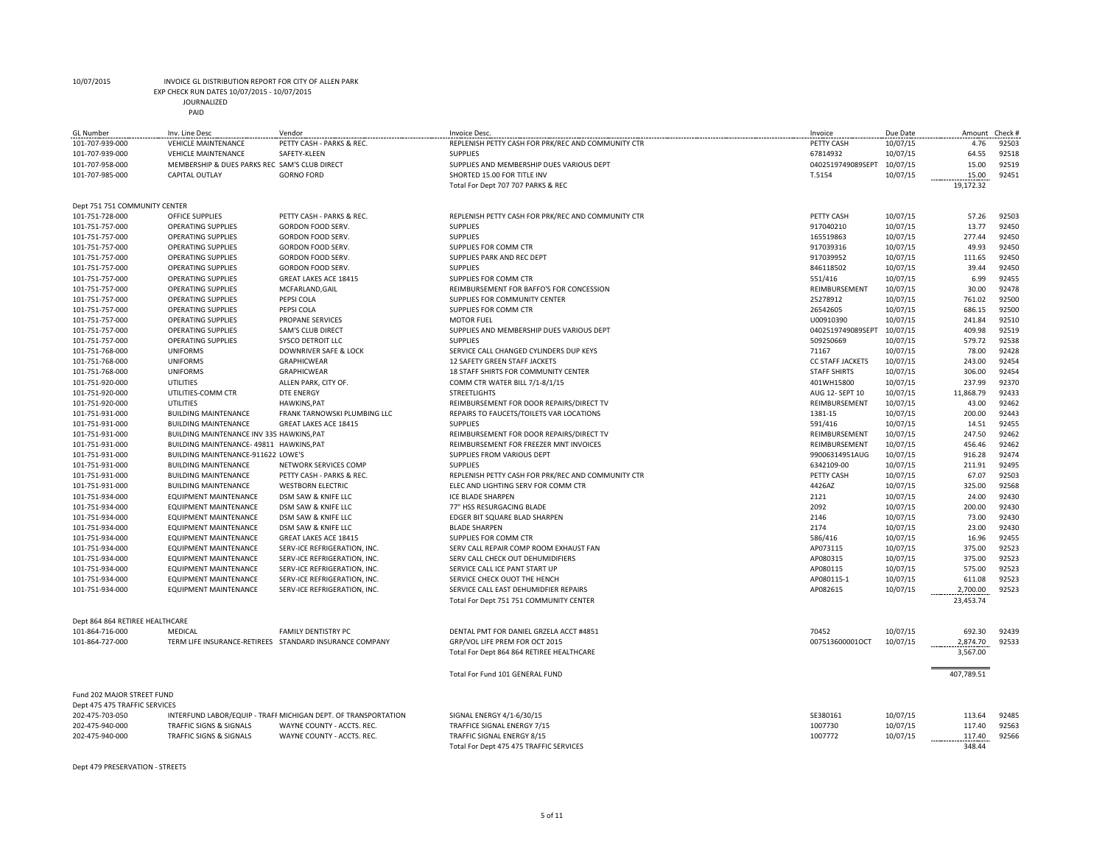EXP CHECK RUN DATES 10/07/2015 - 10/07/2015

JOURNALIZED

| <b>GL Number</b><br>101-707-939-000 | Inv. Line Desc<br><b>VEHICLE MAINTENANCE</b>  | Vendor<br>PETTY CASH - PARKS & REC.                            | <b>Invoice Desc</b><br>REPLENISH PETTY CASH FOR PRK/REC AND COMMUNITY CTR | Invoice<br>PETTY CASH   | Due Date<br>10/07/15 | Amount<br>4.76 | Check #<br>92503 |
|-------------------------------------|-----------------------------------------------|----------------------------------------------------------------|---------------------------------------------------------------------------|-------------------------|----------------------|----------------|------------------|
| 101-707-939-000                     | <b>VEHICLE MAINTENANCE</b>                    | SAFETY-KLEEN                                                   | <b>SUPPLIES</b>                                                           | 67814932                | 10/07/15             | 64.55          | 92518            |
| 101-707-958-000                     | MEMBERSHIP & DUES PARKS REC SAM'S CLUB DIRECT |                                                                | SUPPLIES AND MEMBERSHIP DUES VARIOUS DEPT                                 | 0402519749089SEPT       | 10/07/15             | 15.00          | 92519            |
| 101-707-985-000                     | <b>CAPITAL OUTLAY</b>                         | <b>GORNO FORD</b>                                              | SHORTED 15.00 FOR TITLE INV                                               | T.5154                  | 10/07/15             | 15.00          | 92451            |
|                                     |                                               |                                                                | Total For Dept 707 707 PARKS & REC                                        |                         |                      | 19,172.32      |                  |
|                                     |                                               |                                                                |                                                                           |                         |                      |                |                  |
| Dept 751 751 COMMUNITY CENTER       |                                               |                                                                |                                                                           |                         |                      |                |                  |
| 101-751-728-000                     | OFFICE SUPPLIES                               | PETTY CASH - PARKS & REC.                                      | REPLENISH PETTY CASH FOR PRK/REC AND COMMUNITY CTR                        | PETTY CASH              | 10/07/15             | 57.26          | 92503            |
| 101-751-757-000                     | <b>OPERATING SUPPLIES</b>                     | <b>GORDON FOOD SERV</b>                                        | <b>SUPPLIES</b>                                                           | 917040210               | 10/07/15             | 13.77          | 92450            |
| 101-751-757-000                     | <b>OPERATING SUPPLIES</b>                     | <b>GORDON FOOD SERV</b>                                        | <b>SUPPLIES</b>                                                           | 165519863               | 10/07/15             | 277.44         | 92450            |
| 101-751-757-000                     | <b>OPERATING SUPPLIES</b>                     | <b>GORDON FOOD SERV.</b>                                       | SUPPLIES FOR COMM CTR                                                     | 917039316               | 10/07/15             | 49.93          | 92450            |
| 101-751-757-000                     | <b>OPERATING SUPPLIES</b>                     | <b>GORDON FOOD SERV.</b>                                       | SUPPLIES PARK AND REC DEPT                                                | 917039952               | 10/07/15             | 111.65         | 92450            |
| 101-751-757-000                     | <b>OPERATING SUPPLIES</b>                     | <b>GORDON FOOD SERV.</b>                                       | <b>SUPPLIES</b>                                                           | 846118502               | 10/07/15             | 39.44          | 92450            |
| 101-751-757-000                     | <b>OPERATING SUPPLIES</b>                     | <b>GREAT LAKES ACE 18415</b>                                   | SUPPLIES FOR COMM CTR                                                     | 551/416                 | 10/07/15             | 6.99           | 92455            |
| 101-751-757-000                     | <b>OPERATING SUPPLIES</b>                     | MCFARLAND, GAIL                                                | REIMBURSEMENT FOR BAFFO'S FOR CONCESSION                                  | REIMBURSEMENT           | 10/07/15             | 30.00          | 92478            |
| 101-751-757-000                     | <b>OPERATING SUPPLIES</b>                     | PEPSI COLA                                                     | SUPPLIES FOR COMMUNITY CENTER                                             | 25278912                | 10/07/15             | 761.02         | 92500            |
| 101-751-757-000                     | <b>OPERATING SUPPLIES</b>                     | PEPSI COLA                                                     | SUPPLIES FOR COMM CTR                                                     | 26542605                | 10/07/15             | 686.15         | 92500            |
| 101-751-757-000                     | <b>OPERATING SUPPLIES</b>                     | <b>PROPANE SERVICES</b>                                        | <b>MOTOR FUEL</b>                                                         | U00910390               | 10/07/15             | 241.84         | 92510            |
| 101-751-757-000                     | <b>OPERATING SUPPLIES</b>                     | SAM'S CLUB DIRECT                                              | SUPPLIES AND MEMBERSHIP DUES VARIOUS DEPT                                 | 0402519749089SEPT       | 10/07/15             | 409.98         | 92519            |
| 101-751-757-000                     | <b>OPERATING SUPPLIES</b>                     | <b>SYSCO DETROIT LLC</b>                                       | <b>SUPPLIES</b>                                                           | 509250669               | 10/07/15             | 579.72         | 92538            |
| 101-751-768-000                     | <b>UNIFORMS</b>                               | DOWNRIVER SAFE & LOCK                                          | SERVICE CALL CHANGED CYLINDERS DUP KEYS                                   | 71167                   | 10/07/15             | 78.00          | 92428            |
| 101-751-768-000                     | <b>UNIFORMS</b>                               | <b>GRAPHICWEAR</b>                                             | 12 SAFETY GREEN STAFF JACKETS                                             | <b>CC STAFF JACKETS</b> | 10/07/15             | 243.00         | 92454            |
| 101-751-768-000                     | <b>UNIFORMS</b>                               | <b>GRAPHICWEAR</b>                                             | 18 STAFF SHIRTS FOR COMMUNITY CENTER                                      | <b>STAFF SHIRTS</b>     | 10/07/15             | 306.00         | 92454            |
| 101-751-920-000                     | <b>UTILITIES</b>                              | ALLEN PARK, CITY OF.                                           | COMM CTR WATER BILL 7/1-8/1/15                                            | 401WH15800              | 10/07/15             | 237.99         | 92370            |
| 101-751-920-000                     | UTILITIES-COMM CTR                            | <b>DTE ENERGY</b>                                              | <b>STREETLIGHTS</b>                                                       | AUG 12- SEPT 10         | 10/07/15             | 11,868.79      | 92433            |
| 101-751-920-000                     | <b>UTILITIES</b>                              | <b>HAWKINS, PAT</b>                                            | REIMBURSEMENT FOR DOOR REPAIRS/DIRECT TV                                  | REIMBURSEMENT           | 10/07/15             | 43.00          | 92462            |
| 101-751-931-000                     | <b>BUILDING MAINTENANCE</b>                   | FRANK TARNOWSKI PLUMBING LLC                                   | REPAIRS TO FAUCETS/TOILETS VAR LOCATIONS                                  | 1381-15                 | 10/07/15             | 200.00         | 92443            |
| 101-751-931-000                     | <b>BUILDING MAINTENANCE</b>                   | GREAT LAKES ACE 18415                                          | <b>SUPPLIES</b>                                                           | 591/416                 | 10/07/15             | 14.51          | 92455            |
| 101-751-931-000                     | BUILDING MAINTENANCE INV 335 HAWKINS, PAT     |                                                                | REIMBURSEMENT FOR DOOR REPAIRS/DIRECT TV                                  | REIMBURSEMENT           | 10/07/15             | 247.50         | 92462            |
| 101-751-931-000                     | BUILDING MAINTENANCE- 49811 HAWKINS, PAT      |                                                                | REIMBURSEMENT FOR FREEZER MNT INVOICES                                    | REIMBURSEMENT           | 10/07/15             | 456.46         | 92462            |
| 101-751-931-000                     | BUILDING MAINTENANCE-911622 LOWE'S            |                                                                | SUPPLIES FROM VARIOUS DEPT                                                | 99006314951AUG          | 10/07/15             | 916.28         | 92474            |
| 101-751-931-000                     | <b>BUILDING MAINTENANCE</b>                   | NETWORK SERVICES COMP                                          | <b>SUPPLIES</b>                                                           | 6342109-00              | 10/07/15             | 211.91         | 92495            |
| 101-751-931-000                     | <b>BUILDING MAINTENANCE</b>                   | PETTY CASH - PARKS & REC.                                      | REPLENISH PETTY CASH FOR PRK/REC AND COMMUNITY CTR                        | PETTY CASH              | 10/07/15             | 67.07          | 92503            |
| 101-751-931-000                     | <b>BUILDING MAINTENANCE</b>                   | <b>WESTBORN ELECTRIC</b>                                       | ELEC AND LIGHTING SERV FOR COMM CTR                                       | 4426AZ                  | 10/07/15             | 325.00         | 92568            |
| 101-751-934-000                     | <b>EQUIPMENT MAINTENANCE</b>                  | DSM SAW & KNIFE LLC                                            | ICE BLADE SHARPEN                                                         | 2121                    | 10/07/15             | 24.00          | 92430            |
| 101-751-934-000                     | <b>EQUIPMENT MAINTENANCE</b>                  | DSM SAW & KNIFE LLC                                            | 77" HSS RESURGACING BLADE                                                 | 2092                    | 10/07/15             | 200.00         | 92430            |
| 101-751-934-000                     | <b>EQUIPMENT MAINTENANCE</b>                  | DSM SAW & KNIFE LLC                                            | EDGER BIT SQUARE BLAD SHARPEN                                             | 2146                    | 10/07/15             | 73.00          | 92430            |
| 101-751-934-000                     | <b>EQUIPMENT MAINTENANCE</b>                  | DSM SAW & KNIFE LLC                                            | <b>BLADE SHARPEN</b>                                                      | 2174                    | 10/07/15             | 23.00          | 92430            |
| 101-751-934-000                     | <b>EQUIPMENT MAINTENANCE</b>                  | GREAT LAKES ACE 18415                                          | SUPPLIES FOR COMM CTR                                                     | 586/416                 | 10/07/15             | 16.96          | 92455            |
| 101-751-934-000                     | <b>EQUIPMENT MAINTENANCE</b>                  | SERV-ICE REFRIGERATION, INC.                                   | SERV CALL REPAIR COMP ROOM EXHAUST FAN                                    | AP073115                | 10/07/15             | 375.00         | 92523            |
| 101-751-934-000                     | <b>EQUIPMENT MAINTENANCE</b>                  | SERV-ICE REFRIGERATION, INC.                                   | SERV CALL CHECK OUT DEHUMIDIFIERS                                         | AP080315                | 10/07/15             | 375.00         | 92523            |
| 101-751-934-000                     | <b>EQUIPMENT MAINTENANCE</b>                  | SERV-ICE REFRIGERATION, INC.                                   | SERVICE CALL ICE PANT START UP                                            | AP080115                | 10/07/15             | 575.00         | 92523            |
| 101-751-934-000                     | <b>EQUIPMENT MAINTENANCE</b>                  | SERV-ICE REFRIGERATION, INC.                                   | SERVICE CHECK OUOT THE HENCH                                              | AP080115-1              | 10/07/15             | 611.08         | 92523            |
| 101-751-934-000                     | <b>EQUIPMENT MAINTENANCE</b>                  | SERV-ICE REFRIGERATION, INC.                                   | SERVICE CALL EAST DEHUMIDFIER REPAIRS                                     | AP082615                | 10/07/15             | 2,700.00       | 92523            |
|                                     |                                               |                                                                | Total For Dept 751 751 COMMUNITY CENTER                                   |                         |                      | 23,453.74      |                  |
|                                     |                                               |                                                                |                                                                           |                         |                      |                |                  |
| Dept 864 864 RETIREE HEALTHCARE     |                                               |                                                                |                                                                           |                         |                      |                |                  |
| 101-864-716-000                     | MEDICAL                                       | FAMILY DENTISTRY PC                                            | DENTAL PMT FOR DANIEL GRZELA ACCT #4851                                   | 70452                   | 10/07/15             | 692.30         | 92439            |
| 101-864-727-000                     |                                               | TERM LIFE INSURANCE-RETIREES STANDARD INSURANCE COMPANY        | GRP/VOL LIFE PREM FOR OCT 2015                                            | 007513600001OCT         | 10/07/15             | 2,874.70       | 92533            |
|                                     |                                               |                                                                | Total For Dept 864 864 RETIREE HEALTHCARE                                 |                         |                      | 3,567.00       |                  |
|                                     |                                               |                                                                |                                                                           |                         |                      |                |                  |
|                                     |                                               |                                                                | Total For Fund 101 GENERAL FUND                                           |                         |                      | 407,789.51     |                  |
| Fund 202 MAJOR STREET FUND          |                                               |                                                                |                                                                           |                         |                      |                |                  |
| Dept 475 475 TRAFFIC SERVICES       |                                               |                                                                |                                                                           |                         |                      |                |                  |
| 202-475-703-050                     |                                               | INTERFUND LABOR/EQUIP - TRAFF MICHIGAN DEPT. OF TRANSPORTATION | SIGNAL ENERGY 4/1-6/30/15                                                 | SE380161                | 10/07/15             | 113.64         | 92485            |
| 202-475-940-000                     | TRAFFIC SIGNS & SIGNALS                       | WAYNE COUNTY - ACCTS. REC.                                     | TRAFFICE SIGNAL ENERGY 7/15                                               | 1007730                 | 10/07/15             | 117.40         | 92563            |
| 202-475-940-000                     | TRAFFIC SIGNS & SIGNALS                       | WAYNE COUNTY - ACCTS. REC.                                     | TRAFFIC SIGNAL ENERGY 8/15                                                | 1007772                 | 10/07/15             | 117.40         | 92566            |
|                                     |                                               |                                                                | Total For Dept 475 475 TRAFFIC SERVICES                                   |                         |                      | 348.44         |                  |

Dept 479 PRESERVATION - STREETS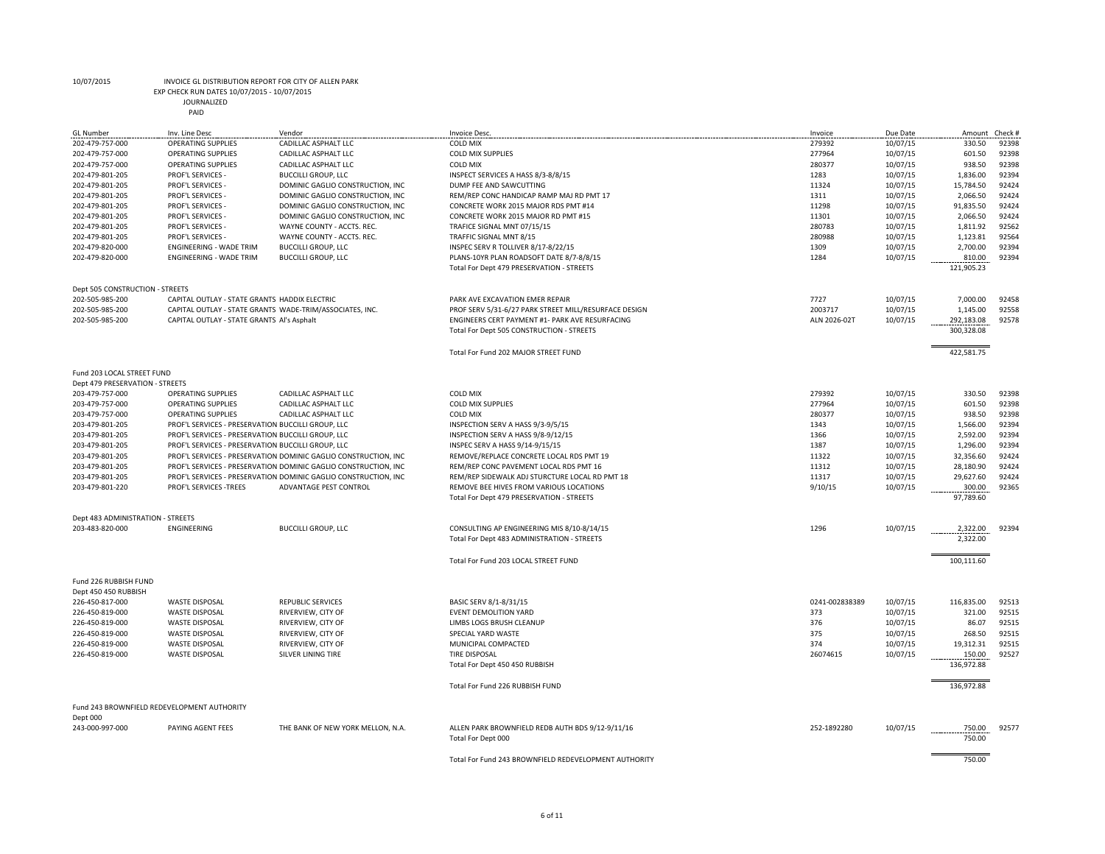EXP CHECK RUN DATES 10/07/2015 - 10/07/2015

| <b>GL Number</b>                   | Inv. Line Desc                                     | Vendor                                                          | <b>Invoice Desc</b>                                                                       | Invoice        | Due Date             | Amount Check #       |                |
|------------------------------------|----------------------------------------------------|-----------------------------------------------------------------|-------------------------------------------------------------------------------------------|----------------|----------------------|----------------------|----------------|
| 202-479-757-000                    | <b>OPERATING SUPPLIES</b>                          | CADILLAC ASPHALT LLC                                            | <b>COLD MIX</b>                                                                           | 279392         | 10/07/15             | 330.50               | 92398          |
| 202-479-757-000                    | OPERATING SUPPLIES                                 | CADILLAC ASPHALT LLC                                            | <b>COLD MIX SUPPLIES</b>                                                                  | 277964         | 10/07/15             | 601.50               | 92398          |
| 202-479-757-000                    | <b>OPERATING SUPPLIES</b>                          | CADILLAC ASPHALT LLC                                            | <b>COLD MIX</b>                                                                           | 280377         | 10/07/15             | 938.50               | 92398          |
| 202-479-801-205                    | PROF'L SERVICES -                                  | <b>BUCCILLI GROUP, LLC</b>                                      | INSPECT SERVICES A HASS 8/3-8/8/15                                                        | 1283           | 10/07/15             | 1,836.00             | 92394          |
| 202-479-801-205                    | PROF'L SERVICES -                                  | DOMINIC GAGLIO CONSTRUCTION, INC.                               | DUMP FEE AND SAWCUTTING                                                                   | 11324          | 10/07/15             | 15,784.50            | 92424          |
| 202-479-801-205                    | PROF'L SERVICES -                                  | DOMINIC GAGLIO CONSTRUCTION, INC.                               | REM/REP CONC HANDICAP RAMP MAJ RD PMT 17                                                  | 1311           | 10/07/15             | 2,066.50             | 92424          |
| 202-479-801-205                    | PROF'L SERVICES -<br>PROF'L SERVICES -             | DOMINIC GAGLIO CONSTRUCTION, INC                                | CONCRETE WORK 2015 MAJOR RDS PMT #14                                                      | 11298<br>11301 | 10/07/15             | 91,835.50            | 92424<br>92424 |
| 202-479-801-205                    |                                                    | DOMINIC GAGLIO CONSTRUCTION, INC<br>WAYNE COUNTY - ACCTS, REC.  | CONCRETE WORK 2015 MAJOR RD PMT #15                                                       | 280783         | 10/07/15             | 2,066.50             | 92562          |
| 202-479-801-205<br>202-479-801-205 | PROF'L SERVICES -<br>PROF'L SERVICES -             | WAYNE COUNTY - ACCTS. REC.                                      | TRAFICE SIGNAL MNT 07/15/15<br>TRAFFIC SIGNAL MNT 8/15                                    | 280988         | 10/07/15<br>10/07/15 | 1,811.92<br>1,123.81 | 92564          |
| 202-479-820-000                    | ENGINEERING - WADE TRIM                            | <b>BUCCILLI GROUP, LLC</b>                                      | INSPEC SERV R TOLLIVER 8/17-8/22/15                                                       | 1309           | 10/07/15             | 2,700.00             | 92394          |
| 202-479-820-000                    | ENGINEERING - WADE TRIM                            | <b>BUCCILLI GROUP, LLC</b>                                      | PLANS-10YR PLAN ROADSOFT DATE 8/7-8/8/15                                                  | 1284           | 10/07/15             | 810.00               | 92394          |
|                                    |                                                    |                                                                 | Total For Dept 479 PRESERVATION - STREETS                                                 |                |                      | 121,905.23           |                |
| Dept 505 CONSTRUCTION - STREETS    |                                                    |                                                                 |                                                                                           |                |                      |                      |                |
| 202-505-985-200                    | CAPITAL OUTLAY - STATE GRANTS HADDIX ELECTRIC      |                                                                 | PARK AVE EXCAVATION EMER REPAIR                                                           | 7727           | 10/07/15             | 7,000.00             | 92458          |
| 202-505-985-200                    |                                                    | CAPITAL OUTLAY - STATE GRANTS WADE-TRIM/ASSOCIATES, INC.        | PROF SERV 5/31-6/27 PARK STREET MILL/RESURFACE DESIGN                                     | 2003717        | 10/07/15             | 1,145.00             | 92558          |
| 202-505-985-200                    | CAPITAL OUTLAY - STATE GRANTS Al's Asphalt         |                                                                 | ENGINEERS CERT PAYMENT #1- PARK AVE RESURFACING                                           | ALN 2026-02T   | 10/07/15             | 292,183.08           | 92578          |
|                                    |                                                    |                                                                 | Total For Dept 505 CONSTRUCTION - STREETS                                                 |                |                      | 300,328.08           |                |
|                                    |                                                    |                                                                 | Total For Fund 202 MAJOR STREET FUND                                                      |                |                      | 422,581.75           |                |
| Fund 203 LOCAL STREET FUND         |                                                    |                                                                 |                                                                                           |                |                      |                      |                |
| Dept 479 PRESERVATION - STREETS    |                                                    |                                                                 |                                                                                           |                |                      |                      |                |
| 203-479-757-000                    | <b>OPERATING SUPPLIES</b>                          | CADILLAC ASPHALT LLC                                            | <b>COLD MIX</b>                                                                           | 279392         | 10/07/15             | 330.50               | 92398          |
| 203-479-757-000                    | <b>OPERATING SUPPLIES</b>                          | CADILLAC ASPHALT LLC                                            | <b>COLD MIX SUPPLIES</b>                                                                  | 277964         | 10/07/15             | 601.50               | 92398          |
| 203-479-757-000                    | <b>OPERATING SUPPLIES</b>                          | CADILLAC ASPHALT LLC                                            | <b>COLD MIX</b>                                                                           | 280377         | 10/07/15             | 938.50               | 92398          |
| 203-479-801-205                    | PROF'L SERVICES - PRESERVATION BUCCILLI GROUP, LLC |                                                                 | INSPECTION SERV A HASS 9/3-9/5/15                                                         | 1343           | 10/07/15             | 1,566.00             | 92394          |
| 203-479-801-205                    | PROF'L SERVICES - PRESERVATION BUCCILLI GROUP, LLC |                                                                 | INSPECTION SERV A HASS 9/8-9/12/15                                                        | 1366           | 10/07/15             | 2,592.00             | 92394          |
| 203-479-801-205                    | PROF'L SERVICES - PRESERVATION BUCCILLI GROUP, LLC |                                                                 | INSPEC SERV A HASS 9/14-9/15/15                                                           | 1387           | 10/07/15             | 1,296.00             | 92394          |
| 203-479-801-205                    |                                                    | PROF'L SERVICES - PRESERVATION DOMINIC GAGLIO CONSTRUCTION, INC | REMOVE/REPLACE CONCRETE LOCAL RDS PMT 19                                                  | 11322          | 10/07/15             | 32,356.60            | 92424          |
| 203-479-801-205                    |                                                    | PROF'L SERVICES - PRESERVATION DOMINIC GAGLIO CONSTRUCTION, INC | REM/REP CONC PAVEMENT LOCAL RDS PMT 16                                                    | 11312          | 10/07/15             | 28,180.90            | 92424          |
| 203-479-801-205                    |                                                    | PROF'L SERVICES - PRESERVATION DOMINIC GAGLIO CONSTRUCTION, INC | REM/REP SIDEWALK ADJ STURCTURE LOCAL RD PMT 18                                            | 11317          | 10/07/15             | 29,627.60            | 92424          |
| 203-479-801-220                    | PROF'L SERVICES -TREES                             | ADVANTAGE PEST CONTROL                                          | REMOVE BEE HIVES FROM VARIOUS LOCATIONS<br>Total For Dept 479 PRESERVATION - STREETS      | 9/10/15        | 10/07/15             | 300.00<br>97,789.60  | 92365          |
|                                    |                                                    |                                                                 |                                                                                           |                |                      |                      |                |
| Dept 483 ADMINISTRATION - STREETS  |                                                    |                                                                 |                                                                                           |                |                      |                      |                |
| 203-483-820-000                    | ENGINEERING                                        | <b>BUCCILLI GROUP, LLC</b>                                      | CONSULTING AP ENGINEERING MIS 8/10-8/14/15<br>Total For Dept 483 ADMINISTRATION - STREETS | 1296           | 10/07/15             | 2,322.00<br>2,322.00 | 92394          |
|                                    |                                                    |                                                                 | Total For Fund 203 LOCAL STREET FUND                                                      |                |                      | 100,111.60           |                |
|                                    |                                                    |                                                                 |                                                                                           |                |                      |                      |                |
| Fund 226 RUBBISH FUND              |                                                    |                                                                 |                                                                                           |                |                      |                      |                |
| Dept 450 450 RUBBISH               |                                                    |                                                                 |                                                                                           |                |                      |                      |                |
| 226-450-817-000                    | <b>WASTE DISPOSAL</b>                              | <b>REPUBLIC SERVICES</b>                                        | BASIC SERV 8/1-8/31/15                                                                    | 0241-002838389 | 10/07/15             | 116,835.00           | 92513          |
| 226-450-819-000                    | <b>WASTE DISPOSAL</b>                              | RIVERVIEW, CITY OF                                              | <b>EVENT DEMOLITION YARD</b>                                                              | 373            | 10/07/15             | 321.00               | 92515          |
| 226-450-819-000                    | <b>WASTE DISPOSAL</b>                              | RIVERVIEW, CITY OF                                              | LIMBS LOGS BRUSH CLEANUP                                                                  | 376            | 10/07/15             | 86.07                | 92515          |
| 226-450-819-000                    | <b>WASTE DISPOSAL</b>                              | RIVERVIEW, CITY OF                                              | SPECIAL YARD WASTE<br>MUNICIPAL COMPACTED                                                 | 375<br>374     | 10/07/15             | 268.50               | 92515<br>92515 |
| 226-450-819-000                    | <b>WASTE DISPOSAL</b>                              | RIVERVIEW, CITY OF<br>SILVER LINING TIRE                        | <b>TIRE DISPOSAL</b>                                                                      | 26074615       | 10/07/15<br>10/07/15 | 19,312.31            | 92527          |
| 226-450-819-000                    | <b>WASTE DISPOSAL</b>                              |                                                                 |                                                                                           |                |                      | 150.00<br>136,972.88 |                |
|                                    |                                                    |                                                                 | Total For Dept 450 450 RUBBISH                                                            |                |                      |                      |                |
|                                    |                                                    |                                                                 | Total For Fund 226 RUBBISH FUND                                                           |                |                      | 136,972.88           |                |
|                                    | Fund 243 BROWNFIELD REDEVELOPMENT AUTHORITY        |                                                                 |                                                                                           |                |                      |                      |                |
| Dept 000                           |                                                    |                                                                 |                                                                                           |                |                      |                      |                |
| 243-000-997-000                    | PAYING AGENT FEES                                  | THE BANK OF NEW YORK MELLON, N.A.                               | ALLEN PARK BROWNFIELD REDB AUTH BDS 9/12-9/11/16<br>Total For Dept 000                    | 252-1892280    | 10/07/15             | 750.00<br>750.00     | 92577          |
|                                    |                                                    |                                                                 |                                                                                           |                |                      |                      |                |
|                                    |                                                    |                                                                 | Total For Fund 243 BROWNFIFLD REDEVELOPMENT AUTHORITY                                     |                |                      | 750.00               |                |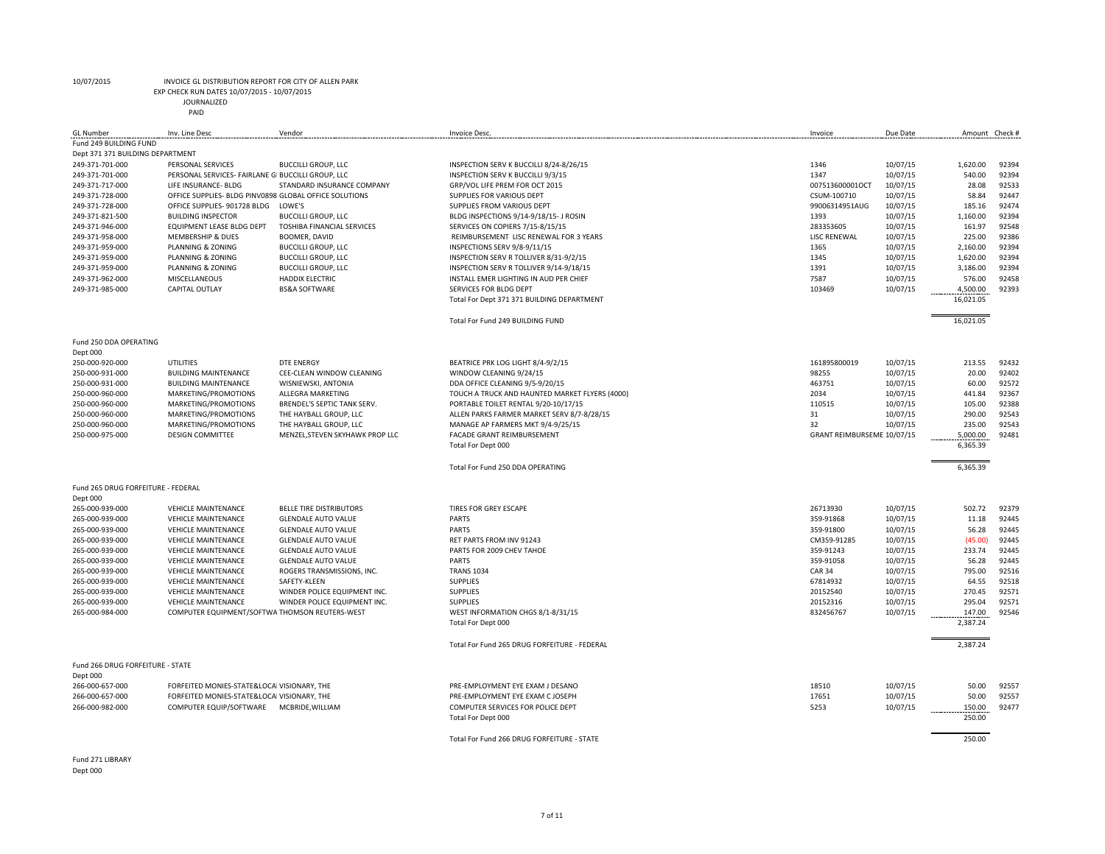EXP CHECK RUN DATES 10/07/2015 - 10/07/2015

JOURNALIZED

|  | PAID |  |
|--|------|--|
|  |      |  |

| Fund 249 BUILDING FUND<br>Dept 371 371 BUILDING DEPARTMENT<br>1346<br>10/07/15<br>1,620.00<br>249-371-701-000<br>PERSONAL SERVICES<br><b>BUCCILLI GROUP, LLC</b><br>INSPECTION SERV K BUCCILLI 8/24-8/26/15<br>1347<br>10/07/15<br>249-371-701-000<br>PERSONAL SERVICES- FAIRLANE GI BUCCILLI GROUP, LLC<br>INSPECTION SERV K BUCCILLI 9/3/15<br>540.00<br>249-371-717-000<br>STANDARD INSURANCE COMPANY<br>GRP/VOL LIFE PREM FOR OCT 2015<br>007513600001OCT<br>10/07/15<br>28.08<br>LIFE INSURANCE- BLDG<br>10/07/15<br>58.84<br>249-371-728-000<br>OFFICE SUPPLIES- BLDG PINV0898 GLOBAL OFFICE SOLUTIONS<br>SUPPLIES FOR VARIOUS DEPT<br>CSUM-100710<br>249-371-728-000<br>OFFICE SUPPLIES- 901728 BLDG<br>LOWE'S<br>SUPPLIES FROM VARIOUS DEPT<br>99006314951AUG<br>10/07/15<br>185.16<br>249-371-821-500<br><b>BUILDING INSPECTOR</b><br><b>BUCCILLI GROUP, LLC</b><br>BLDG INSPECTIONS 9/14-9/18/15- J ROSIN<br>1393<br>10/07/15<br>1,160.00<br>249-371-946-000<br><b>EQUIPMENT LEASE BLDG DEPT</b><br><b>TOSHIBA FINANCIAL SERVICES</b><br>SERVICES ON COPIERS 7/15-8/15/15<br>283353605<br>10/07/15<br>161.97<br><b>LISC RENEWAL</b><br>10/07/15<br>225.00<br>249-371-958-000<br><b>MEMBERSHIP &amp; DUES</b><br>BOOMER, DAVID<br>REIMBURSEMENT LISC RENEWAL FOR 3 YEARS<br>249-371-959-000<br>PLANNING & ZONING<br><b>BUCCILLI GROUP, LLC</b><br>INSPECTIONS SERV 9/8-9/11/15<br>1365<br>10/07/15<br>2,160.00<br>249-371-959-000<br><b>BUCCILLI GROUP, LLC</b><br>INSPECTION SERV R TOLLIVER 8/31-9/2/15<br>1345<br>10/07/15<br>1,620.00<br>PLANNING & ZONING<br>1391<br>10/07/15<br>3,186.00<br>249-371-959-000<br>PLANNING & ZONING<br><b>BUCCILLI GROUP, LLC</b><br>INSPECTION SERV R TOLLIVER 9/14-9/18/15<br>10/07/15<br>249-371-962-000<br>MISCELLANEOUS<br><b>HADDIX ELECTRIC</b><br>INSTALL EMER LIGHTING IN AUD PER CHIEF<br>7587<br>576.00<br>249-371-985-000<br>CAPITAL OUTLAY<br><b>BS&amp;A SOFTWARE</b><br>SERVICES FOR BLDG DEPT<br>103469<br>10/07/15<br>4,500.00<br>16,021.05<br>Total For Dept 371 371 BUILDING DEPARTMENT | 92394<br>92394<br>92533<br>92447<br>92474<br>92394<br>92548<br>92386<br>92394<br>92394<br>92394<br>92458 |
|--------------------------------------------------------------------------------------------------------------------------------------------------------------------------------------------------------------------------------------------------------------------------------------------------------------------------------------------------------------------------------------------------------------------------------------------------------------------------------------------------------------------------------------------------------------------------------------------------------------------------------------------------------------------------------------------------------------------------------------------------------------------------------------------------------------------------------------------------------------------------------------------------------------------------------------------------------------------------------------------------------------------------------------------------------------------------------------------------------------------------------------------------------------------------------------------------------------------------------------------------------------------------------------------------------------------------------------------------------------------------------------------------------------------------------------------------------------------------------------------------------------------------------------------------------------------------------------------------------------------------------------------------------------------------------------------------------------------------------------------------------------------------------------------------------------------------------------------------------------------------------------------------------------------------------------------------------------------------------------------------------------------------------------------------------|----------------------------------------------------------------------------------------------------------|
|                                                                                                                                                                                                                                                                                                                                                                                                                                                                                                                                                                                                                                                                                                                                                                                                                                                                                                                                                                                                                                                                                                                                                                                                                                                                                                                                                                                                                                                                                                                                                                                                                                                                                                                                                                                                                                                                                                                                                                                                                                                        |                                                                                                          |
|                                                                                                                                                                                                                                                                                                                                                                                                                                                                                                                                                                                                                                                                                                                                                                                                                                                                                                                                                                                                                                                                                                                                                                                                                                                                                                                                                                                                                                                                                                                                                                                                                                                                                                                                                                                                                                                                                                                                                                                                                                                        |                                                                                                          |
|                                                                                                                                                                                                                                                                                                                                                                                                                                                                                                                                                                                                                                                                                                                                                                                                                                                                                                                                                                                                                                                                                                                                                                                                                                                                                                                                                                                                                                                                                                                                                                                                                                                                                                                                                                                                                                                                                                                                                                                                                                                        |                                                                                                          |
|                                                                                                                                                                                                                                                                                                                                                                                                                                                                                                                                                                                                                                                                                                                                                                                                                                                                                                                                                                                                                                                                                                                                                                                                                                                                                                                                                                                                                                                                                                                                                                                                                                                                                                                                                                                                                                                                                                                                                                                                                                                        |                                                                                                          |
|                                                                                                                                                                                                                                                                                                                                                                                                                                                                                                                                                                                                                                                                                                                                                                                                                                                                                                                                                                                                                                                                                                                                                                                                                                                                                                                                                                                                                                                                                                                                                                                                                                                                                                                                                                                                                                                                                                                                                                                                                                                        |                                                                                                          |
|                                                                                                                                                                                                                                                                                                                                                                                                                                                                                                                                                                                                                                                                                                                                                                                                                                                                                                                                                                                                                                                                                                                                                                                                                                                                                                                                                                                                                                                                                                                                                                                                                                                                                                                                                                                                                                                                                                                                                                                                                                                        |                                                                                                          |
|                                                                                                                                                                                                                                                                                                                                                                                                                                                                                                                                                                                                                                                                                                                                                                                                                                                                                                                                                                                                                                                                                                                                                                                                                                                                                                                                                                                                                                                                                                                                                                                                                                                                                                                                                                                                                                                                                                                                                                                                                                                        |                                                                                                          |
|                                                                                                                                                                                                                                                                                                                                                                                                                                                                                                                                                                                                                                                                                                                                                                                                                                                                                                                                                                                                                                                                                                                                                                                                                                                                                                                                                                                                                                                                                                                                                                                                                                                                                                                                                                                                                                                                                                                                                                                                                                                        |                                                                                                          |
|                                                                                                                                                                                                                                                                                                                                                                                                                                                                                                                                                                                                                                                                                                                                                                                                                                                                                                                                                                                                                                                                                                                                                                                                                                                                                                                                                                                                                                                                                                                                                                                                                                                                                                                                                                                                                                                                                                                                                                                                                                                        |                                                                                                          |
|                                                                                                                                                                                                                                                                                                                                                                                                                                                                                                                                                                                                                                                                                                                                                                                                                                                                                                                                                                                                                                                                                                                                                                                                                                                                                                                                                                                                                                                                                                                                                                                                                                                                                                                                                                                                                                                                                                                                                                                                                                                        |                                                                                                          |
|                                                                                                                                                                                                                                                                                                                                                                                                                                                                                                                                                                                                                                                                                                                                                                                                                                                                                                                                                                                                                                                                                                                                                                                                                                                                                                                                                                                                                                                                                                                                                                                                                                                                                                                                                                                                                                                                                                                                                                                                                                                        |                                                                                                          |
|                                                                                                                                                                                                                                                                                                                                                                                                                                                                                                                                                                                                                                                                                                                                                                                                                                                                                                                                                                                                                                                                                                                                                                                                                                                                                                                                                                                                                                                                                                                                                                                                                                                                                                                                                                                                                                                                                                                                                                                                                                                        |                                                                                                          |
|                                                                                                                                                                                                                                                                                                                                                                                                                                                                                                                                                                                                                                                                                                                                                                                                                                                                                                                                                                                                                                                                                                                                                                                                                                                                                                                                                                                                                                                                                                                                                                                                                                                                                                                                                                                                                                                                                                                                                                                                                                                        |                                                                                                          |
|                                                                                                                                                                                                                                                                                                                                                                                                                                                                                                                                                                                                                                                                                                                                                                                                                                                                                                                                                                                                                                                                                                                                                                                                                                                                                                                                                                                                                                                                                                                                                                                                                                                                                                                                                                                                                                                                                                                                                                                                                                                        | 92393                                                                                                    |
|                                                                                                                                                                                                                                                                                                                                                                                                                                                                                                                                                                                                                                                                                                                                                                                                                                                                                                                                                                                                                                                                                                                                                                                                                                                                                                                                                                                                                                                                                                                                                                                                                                                                                                                                                                                                                                                                                                                                                                                                                                                        |                                                                                                          |
| 16,021.05<br>Total For Fund 249 BUILDING FUND                                                                                                                                                                                                                                                                                                                                                                                                                                                                                                                                                                                                                                                                                                                                                                                                                                                                                                                                                                                                                                                                                                                                                                                                                                                                                                                                                                                                                                                                                                                                                                                                                                                                                                                                                                                                                                                                                                                                                                                                          |                                                                                                          |
|                                                                                                                                                                                                                                                                                                                                                                                                                                                                                                                                                                                                                                                                                                                                                                                                                                                                                                                                                                                                                                                                                                                                                                                                                                                                                                                                                                                                                                                                                                                                                                                                                                                                                                                                                                                                                                                                                                                                                                                                                                                        |                                                                                                          |
| Fund 250 DDA OPERATING                                                                                                                                                                                                                                                                                                                                                                                                                                                                                                                                                                                                                                                                                                                                                                                                                                                                                                                                                                                                                                                                                                                                                                                                                                                                                                                                                                                                                                                                                                                                                                                                                                                                                                                                                                                                                                                                                                                                                                                                                                 |                                                                                                          |
| Dept 000                                                                                                                                                                                                                                                                                                                                                                                                                                                                                                                                                                                                                                                                                                                                                                                                                                                                                                                                                                                                                                                                                                                                                                                                                                                                                                                                                                                                                                                                                                                                                                                                                                                                                                                                                                                                                                                                                                                                                                                                                                               |                                                                                                          |
| <b>UTILITIES</b><br><b>DTE ENERGY</b><br>BEATRICE PRK LOG LIGHT 8/4-9/2/15<br>161895800019<br>10/07/15<br>213.55<br>250-000-920-000                                                                                                                                                                                                                                                                                                                                                                                                                                                                                                                                                                                                                                                                                                                                                                                                                                                                                                                                                                                                                                                                                                                                                                                                                                                                                                                                                                                                                                                                                                                                                                                                                                                                                                                                                                                                                                                                                                                    | 92432                                                                                                    |
| 250-000-931-000<br>WINDOW CLEANING 9/24/15<br>98255<br>10/07/15<br>20.00<br><b>BUILDING MAINTENANCE</b><br>CEE-CLEAN WINDOW CLEANING                                                                                                                                                                                                                                                                                                                                                                                                                                                                                                                                                                                                                                                                                                                                                                                                                                                                                                                                                                                                                                                                                                                                                                                                                                                                                                                                                                                                                                                                                                                                                                                                                                                                                                                                                                                                                                                                                                                   | 92402                                                                                                    |
| 250-000-931-000<br><b>BUILDING MAINTENANCE</b><br>WISNIEWSKI, ANTONIA<br>DDA OFFICE CLEANING 9/5-9/20/15<br>463751<br>10/07/15<br>60.00                                                                                                                                                                                                                                                                                                                                                                                                                                                                                                                                                                                                                                                                                                                                                                                                                                                                                                                                                                                                                                                                                                                                                                                                                                                                                                                                                                                                                                                                                                                                                                                                                                                                                                                                                                                                                                                                                                                | 92572                                                                                                    |
| 2034<br>10/07/15<br>441.84<br>250-000-960-000<br>MARKETING/PROMOTIONS<br>ALLEGRA MARKETING<br>TOUCH A TRUCK AND HAUNTED MARKET FLYERS (4000)                                                                                                                                                                                                                                                                                                                                                                                                                                                                                                                                                                                                                                                                                                                                                                                                                                                                                                                                                                                                                                                                                                                                                                                                                                                                                                                                                                                                                                                                                                                                                                                                                                                                                                                                                                                                                                                                                                           | 92367                                                                                                    |
| 10/07/15<br>250-000-960-000<br>MARKETING/PROMOTIONS<br>BRENDEL'S SEPTIC TANK SERV.<br>PORTABLE TOILET RENTAL 9/20-10/17/15<br>110515<br>105.00                                                                                                                                                                                                                                                                                                                                                                                                                                                                                                                                                                                                                                                                                                                                                                                                                                                                                                                                                                                                                                                                                                                                                                                                                                                                                                                                                                                                                                                                                                                                                                                                                                                                                                                                                                                                                                                                                                         | 92388                                                                                                    |
| 250-000-960-000<br>MARKETING/PROMOTIONS<br>THE HAYBALL GROUP, LLC<br>ALLEN PARKS FARMER MARKET SERV 8/7-8/28/15<br>31<br>10/07/15<br>290.00                                                                                                                                                                                                                                                                                                                                                                                                                                                                                                                                                                                                                                                                                                                                                                                                                                                                                                                                                                                                                                                                                                                                                                                                                                                                                                                                                                                                                                                                                                                                                                                                                                                                                                                                                                                                                                                                                                            | 92543                                                                                                    |
| 250-000-960-000<br>MARKETING/PROMOTIONS<br>THE HAYBALL GROUP, LLC<br>MANAGE AP FARMERS MKT 9/4-9/25/15<br>32<br>10/07/15<br>235.00                                                                                                                                                                                                                                                                                                                                                                                                                                                                                                                                                                                                                                                                                                                                                                                                                                                                                                                                                                                                                                                                                                                                                                                                                                                                                                                                                                                                                                                                                                                                                                                                                                                                                                                                                                                                                                                                                                                     | 92543                                                                                                    |
| 250-000-975-000<br><b>DESIGN COMMITTEE</b><br>MENZEL, STEVEN SKYHAWK PROP LLC<br>FACADE GRANT REIMBURSEMENT<br>GRANT REIMBURSEME 10/07/15<br>5,000.00                                                                                                                                                                                                                                                                                                                                                                                                                                                                                                                                                                                                                                                                                                                                                                                                                                                                                                                                                                                                                                                                                                                                                                                                                                                                                                                                                                                                                                                                                                                                                                                                                                                                                                                                                                                                                                                                                                  | 92481                                                                                                    |
| Total For Dept 000<br>6,365.39                                                                                                                                                                                                                                                                                                                                                                                                                                                                                                                                                                                                                                                                                                                                                                                                                                                                                                                                                                                                                                                                                                                                                                                                                                                                                                                                                                                                                                                                                                                                                                                                                                                                                                                                                                                                                                                                                                                                                                                                                         |                                                                                                          |
| 6,365.39<br>Total For Fund 250 DDA OPERATING                                                                                                                                                                                                                                                                                                                                                                                                                                                                                                                                                                                                                                                                                                                                                                                                                                                                                                                                                                                                                                                                                                                                                                                                                                                                                                                                                                                                                                                                                                                                                                                                                                                                                                                                                                                                                                                                                                                                                                                                           |                                                                                                          |
| Fund 265 DRUG FORFEITURE - FEDERAL                                                                                                                                                                                                                                                                                                                                                                                                                                                                                                                                                                                                                                                                                                                                                                                                                                                                                                                                                                                                                                                                                                                                                                                                                                                                                                                                                                                                                                                                                                                                                                                                                                                                                                                                                                                                                                                                                                                                                                                                                     |                                                                                                          |
| Dept 000                                                                                                                                                                                                                                                                                                                                                                                                                                                                                                                                                                                                                                                                                                                                                                                                                                                                                                                                                                                                                                                                                                                                                                                                                                                                                                                                                                                                                                                                                                                                                                                                                                                                                                                                                                                                                                                                                                                                                                                                                                               |                                                                                                          |
| 265-000-939-000<br><b>VEHICLE MAINTENANCE</b><br><b>BELLE TIRE DISTRIBUTORS</b><br><b>TIRES FOR GREY ESCAPE</b><br>26713930<br>10/07/15<br>502.72                                                                                                                                                                                                                                                                                                                                                                                                                                                                                                                                                                                                                                                                                                                                                                                                                                                                                                                                                                                                                                                                                                                                                                                                                                                                                                                                                                                                                                                                                                                                                                                                                                                                                                                                                                                                                                                                                                      | 92379                                                                                                    |
| 265-000-939-000<br><b>VEHICLE MAINTENANCE</b><br><b>PARTS</b><br>359-91868<br>10/07/15<br>11.18<br><b>GLENDALE AUTO VALUE</b>                                                                                                                                                                                                                                                                                                                                                                                                                                                                                                                                                                                                                                                                                                                                                                                                                                                                                                                                                                                                                                                                                                                                                                                                                                                                                                                                                                                                                                                                                                                                                                                                                                                                                                                                                                                                                                                                                                                          | 92445                                                                                                    |
| 265-000-939-000<br>359-91800<br>10/07/15<br><b>VEHICLE MAINTENANCE</b><br><b>GLENDALE AUTO VALUE</b><br><b>PARTS</b><br>56.28                                                                                                                                                                                                                                                                                                                                                                                                                                                                                                                                                                                                                                                                                                                                                                                                                                                                                                                                                                                                                                                                                                                                                                                                                                                                                                                                                                                                                                                                                                                                                                                                                                                                                                                                                                                                                                                                                                                          | 92445                                                                                                    |
| 265-000-939-000<br><b>VEHICLE MAINTENANCE</b><br><b>GLENDALE AUTO VALUE</b><br>RET PARTS FROM INV 91243<br>CM359-91285<br>10/07/15<br>(45.00)                                                                                                                                                                                                                                                                                                                                                                                                                                                                                                                                                                                                                                                                                                                                                                                                                                                                                                                                                                                                                                                                                                                                                                                                                                                                                                                                                                                                                                                                                                                                                                                                                                                                                                                                                                                                                                                                                                          | 92445                                                                                                    |
| 265-000-939-000<br><b>VEHICLE MAINTENANCE</b><br><b>GLENDALE AUTO VALUE</b><br>PARTS FOR 2009 CHEV TAHOE<br>359-91243<br>10/07/15<br>233.74                                                                                                                                                                                                                                                                                                                                                                                                                                                                                                                                                                                                                                                                                                                                                                                                                                                                                                                                                                                                                                                                                                                                                                                                                                                                                                                                                                                                                                                                                                                                                                                                                                                                                                                                                                                                                                                                                                            | 92445                                                                                                    |
| 265-000-939-000<br><b>VEHICLE MAINTENANCE</b><br><b>GLENDALE AUTO VALUE</b><br><b>PARTS</b><br>359-91058<br>10/07/15<br>56.28                                                                                                                                                                                                                                                                                                                                                                                                                                                                                                                                                                                                                                                                                                                                                                                                                                                                                                                                                                                                                                                                                                                                                                                                                                                                                                                                                                                                                                                                                                                                                                                                                                                                                                                                                                                                                                                                                                                          | 92445                                                                                                    |
| 265-000-939-000<br><b>VEHICLE MAINTENANCE</b><br>ROGERS TRANSMISSIONS, INC.<br><b>TRANS 1034</b><br><b>CAR 34</b><br>10/07/15<br>795.00                                                                                                                                                                                                                                                                                                                                                                                                                                                                                                                                                                                                                                                                                                                                                                                                                                                                                                                                                                                                                                                                                                                                                                                                                                                                                                                                                                                                                                                                                                                                                                                                                                                                                                                                                                                                                                                                                                                | 92516                                                                                                    |
| 265-000-939-000<br><b>VEHICLE MAINTENANCE</b><br><b>SUPPLIES</b><br>67814932<br>10/07/15<br>64.55<br>SAFETY-KLEEN                                                                                                                                                                                                                                                                                                                                                                                                                                                                                                                                                                                                                                                                                                                                                                                                                                                                                                                                                                                                                                                                                                                                                                                                                                                                                                                                                                                                                                                                                                                                                                                                                                                                                                                                                                                                                                                                                                                                      | 92518                                                                                                    |
| 265-000-939-000<br><b>SUPPLIES</b><br>20152540<br>10/07/15<br>270.45<br><b>VEHICLE MAINTENANCE</b><br>WINDER POLICE EQUIPMENT INC.                                                                                                                                                                                                                                                                                                                                                                                                                                                                                                                                                                                                                                                                                                                                                                                                                                                                                                                                                                                                                                                                                                                                                                                                                                                                                                                                                                                                                                                                                                                                                                                                                                                                                                                                                                                                                                                                                                                     | 92571                                                                                                    |
| <b>SUPPLIES</b><br>20152316<br>10/07/15<br>295.04<br>265-000-939-000<br><b>VEHICLE MAINTENANCE</b><br>WINDER POLICE EQUIPMENT INC.                                                                                                                                                                                                                                                                                                                                                                                                                                                                                                                                                                                                                                                                                                                                                                                                                                                                                                                                                                                                                                                                                                                                                                                                                                                                                                                                                                                                                                                                                                                                                                                                                                                                                                                                                                                                                                                                                                                     | 92571                                                                                                    |
| 832456767<br>265-000-984-000<br>COMPUTER EQUIPMENT/SOFTWA THOMSON REUTERS-WEST<br>WEST INFORMATION CHGS 8/1-8/31/15<br>10/07/15<br>147.00                                                                                                                                                                                                                                                                                                                                                                                                                                                                                                                                                                                                                                                                                                                                                                                                                                                                                                                                                                                                                                                                                                                                                                                                                                                                                                                                                                                                                                                                                                                                                                                                                                                                                                                                                                                                                                                                                                              | 92546                                                                                                    |
| 2,387.24<br>Total For Dept 000                                                                                                                                                                                                                                                                                                                                                                                                                                                                                                                                                                                                                                                                                                                                                                                                                                                                                                                                                                                                                                                                                                                                                                                                                                                                                                                                                                                                                                                                                                                                                                                                                                                                                                                                                                                                                                                                                                                                                                                                                         |                                                                                                          |
| 2.387.24<br>Total For Fund 265 DRUG FORFEITURE - FEDERAL                                                                                                                                                                                                                                                                                                                                                                                                                                                                                                                                                                                                                                                                                                                                                                                                                                                                                                                                                                                                                                                                                                                                                                                                                                                                                                                                                                                                                                                                                                                                                                                                                                                                                                                                                                                                                                                                                                                                                                                               |                                                                                                          |
|                                                                                                                                                                                                                                                                                                                                                                                                                                                                                                                                                                                                                                                                                                                                                                                                                                                                                                                                                                                                                                                                                                                                                                                                                                                                                                                                                                                                                                                                                                                                                                                                                                                                                                                                                                                                                                                                                                                                                                                                                                                        |                                                                                                          |
| Fund 266 DRUG FORFEITURE - STATE<br>Dept 000                                                                                                                                                                                                                                                                                                                                                                                                                                                                                                                                                                                                                                                                                                                                                                                                                                                                                                                                                                                                                                                                                                                                                                                                                                                                                                                                                                                                                                                                                                                                                                                                                                                                                                                                                                                                                                                                                                                                                                                                           |                                                                                                          |
| 266-000-657-000<br>FORFEITED MONIES-STATE&LOCAI VISIONARY, THE<br>PRE-EMPLOYMENT EYE EXAM J DESANO<br>18510<br>10/07/15<br>50.00                                                                                                                                                                                                                                                                                                                                                                                                                                                                                                                                                                                                                                                                                                                                                                                                                                                                                                                                                                                                                                                                                                                                                                                                                                                                                                                                                                                                                                                                                                                                                                                                                                                                                                                                                                                                                                                                                                                       | 92557                                                                                                    |
|                                                                                                                                                                                                                                                                                                                                                                                                                                                                                                                                                                                                                                                                                                                                                                                                                                                                                                                                                                                                                                                                                                                                                                                                                                                                                                                                                                                                                                                                                                                                                                                                                                                                                                                                                                                                                                                                                                                                                                                                                                                        |                                                                                                          |
|                                                                                                                                                                                                                                                                                                                                                                                                                                                                                                                                                                                                                                                                                                                                                                                                                                                                                                                                                                                                                                                                                                                                                                                                                                                                                                                                                                                                                                                                                                                                                                                                                                                                                                                                                                                                                                                                                                                                                                                                                                                        |                                                                                                          |
| 266-000-657-000<br>FORFEITED MONIES-STATE&LOCAI VISIONARY, THE<br>17651<br>10/07/15<br>50.00<br>PRE-EMPLOYMENT EYE EXAM C JOSEPH                                                                                                                                                                                                                                                                                                                                                                                                                                                                                                                                                                                                                                                                                                                                                                                                                                                                                                                                                                                                                                                                                                                                                                                                                                                                                                                                                                                                                                                                                                                                                                                                                                                                                                                                                                                                                                                                                                                       | 92557                                                                                                    |
| 266-000-982-000<br>COMPUTER EQUIP/SOFTWARE MCBRIDE, WILLIAM<br>COMPUTER SERVICES FOR POLICE DEPT<br>5253<br>10/07/15<br>150.00<br>250.00<br>Total For Dept 000                                                                                                                                                                                                                                                                                                                                                                                                                                                                                                                                                                                                                                                                                                                                                                                                                                                                                                                                                                                                                                                                                                                                                                                                                                                                                                                                                                                                                                                                                                                                                                                                                                                                                                                                                                                                                                                                                         | 92477                                                                                                    |

Fund 271 LIBRARY Dept 000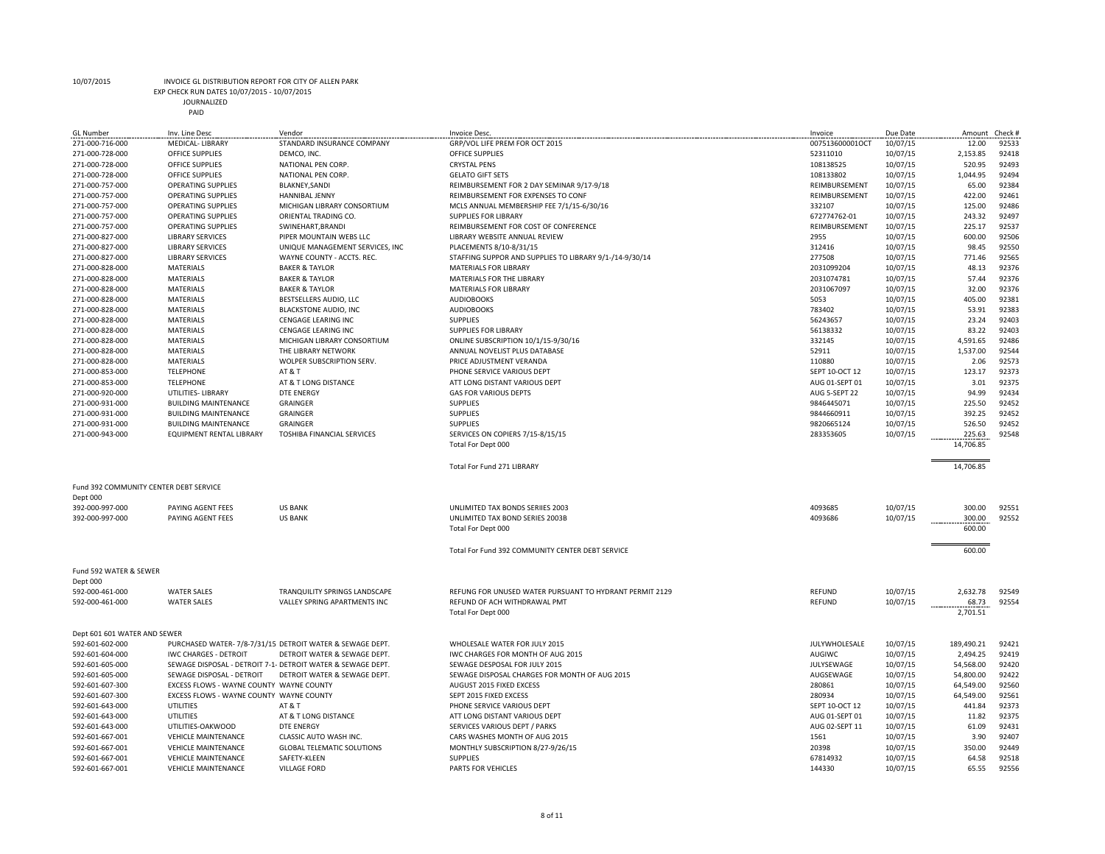EXP CHECK RUN DATES 10/07/2015 - 10/07/2015

|                    | IEUN NUN DATES 10/07/2013 - 10/07/2 |
|--------------------|-------------------------------------|
| <b>JOURNALIZED</b> |                                     |
| PAID               |                                     |
|                    |                                     |

| <b>GL Number</b>                       | Inv. Line Desc                           | Vendor                                                      | Invoice Desc.                                           | Invoice         | Due Date | Amount     | Check # |
|----------------------------------------|------------------------------------------|-------------------------------------------------------------|---------------------------------------------------------|-----------------|----------|------------|---------|
| 271-000-716-000                        | <b>MEDICAL- LIBRARY</b>                  | STANDARD INSURANCE COMPANY                                  | GRP/VOL LIFE PREM FOR OCT 2015                          | 007513600001OCT | 10/07/15 | 12.00      | 92533   |
| 271-000-728-000                        | OFFICE SUPPLIES                          | DEMCO, INC.                                                 | OFFICE SUPPLIES                                         | 52311010        | 10/07/15 | 2,153.85   | 92418   |
| 271-000-728-000                        | <b>OFFICE SUPPLIES</b>                   | NATIONAL PEN CORP.                                          | <b>CRYSTAL PENS</b>                                     | 108138525       | 10/07/15 | 520.95     | 92493   |
| 271-000-728-000                        | <b>OFFICE SUPPLIES</b>                   | NATIONAL PEN CORP.                                          | <b>GELATO GIFT SETS</b>                                 | 108133802       | 10/07/15 | 1,044.95   | 92494   |
| 271-000-757-000                        | <b>OPERATING SUPPLIES</b>                | BLAKNEY, SANDI                                              | REIMBURSEMENT FOR 2 DAY SEMINAR 9/17-9/18               | REIMBURSEMENT   | 10/07/15 | 65.00      | 92384   |
| 271-000-757-000                        | <b>OPERATING SUPPLIES</b>                | HANNIBAL JENNY                                              | REIMBURSEMENT FOR EXPENSES TO CONF                      | REIMBURSEMENT   | 10/07/15 | 422.00     | 92461   |
| 271-000-757-000                        | <b>OPERATING SUPPLIES</b>                | MICHIGAN LIBRARY CONSORTIUM                                 | MCLS ANNUAL MEMBERSHIP FEE 7/1/15-6/30/16               | 332107          | 10/07/15 | 125.00     | 92486   |
| 271-000-757-000                        | <b>OPERATING SUPPLIES</b>                | ORIENTAL TRADING CO.                                        | SUPPLIES FOR LIBRARY                                    | 672774762-01    | 10/07/15 | 243.32     | 92497   |
| 271-000-757-000                        | <b>OPERATING SUPPLIES</b>                | SWINEHART, BRANDI                                           | REIMBURSEMENT FOR COST OF CONFERENCE                    | REIMBURSEMENT   | 10/07/15 | 225.17     | 92537   |
| 271-000-827-000                        | <b>LIBRARY SERVICES</b>                  | PIPER MOUNTAIN WEBS LLC                                     | LIBRARY WEBSITE ANNUAL REVIEW                           | 2955            | 10/07/15 | 600.00     | 92506   |
| 271-000-827-000                        | <b>LIBRARY SERVICES</b>                  | UNIQUE MANAGEMENT SERVICES, INC                             | PLACEMENTS 8/10-8/31/15                                 | 312416          | 10/07/15 | 98.45      | 92550   |
| 271-000-827-000                        | <b>LIBRARY SERVICES</b>                  | WAYNE COUNTY - ACCTS. REC.                                  | STAFFING SUPPOR AND SUPPLIES TO LIBRARY 9/1-/14-9/30/14 | 277508          | 10/07/15 | 771.46     | 92565   |
| 271-000-828-000                        | <b>MATERIALS</b>                         | <b>BAKER &amp; TAYLOR</b>                                   | MATERIALS FOR LIBRARY                                   | 2031099204      | 10/07/15 | 48.13      | 92376   |
| 271-000-828-000                        | MATERIALS                                | <b>BAKER &amp; TAYLOR</b>                                   | MATERIALS FOR THE LIBRARY                               | 2031074781      | 10/07/15 | 57.44      | 92376   |
| 271-000-828-000                        | <b>MATERIALS</b>                         | <b>BAKER &amp; TAYLOR</b>                                   | MATERIALS FOR LIBRARY                                   | 2031067097      | 10/07/15 | 32.00      | 92376   |
| 271-000-828-000                        | <b>MATERIALS</b>                         | BESTSELLERS AUDIO, LLC                                      | <b>AUDIOBOOKS</b>                                       |                 |          | 405.00     | 92381   |
|                                        |                                          |                                                             |                                                         | 5053            | 10/07/15 |            |         |
| 271-000-828-000                        | <b>MATERIALS</b>                         | <b>BLACKSTONE AUDIO, INC</b>                                | <b>AUDIOBOOKS</b>                                       | 783402          | 10/07/15 | 53.91      | 92383   |
| 271-000-828-000                        | <b>MATERIALS</b>                         | CENGAGE LEARING INC                                         | <b>SUPPLIES</b>                                         | 56243657        | 10/07/15 | 23.24      | 92403   |
| 271-000-828-000                        | MATERIALS                                | CENGAGE LEARING INC                                         | SUPPLIES FOR LIBRARY                                    | 56138332        | 10/07/15 | 83.22      | 92403   |
| 271-000-828-000                        | <b>MATERIALS</b>                         | MICHIGAN LIBRARY CONSORTIUM                                 | ONLINE SUBSCRIPTION 10/1/15-9/30/16                     | 332145          | 10/07/15 | 4,591.65   | 92486   |
| 271-000-828-000                        | <b>MATERIALS</b>                         | THE LIBRARY NETWORK                                         | ANNUAL NOVELIST PLUS DATABASE                           | 52911           | 10/07/15 | 1,537.00   | 92544   |
| 271-000-828-000                        | <b>MATERIALS</b>                         | WOLPER SUBSCRIPTION SERV.                                   | PRICE ADJUSTMENT VERANDA                                | 110880          | 10/07/15 | 2.06       | 92573   |
| 271-000-853-000                        | <b>TELEPHONE</b>                         | AT&T                                                        | PHONE SERVICE VARIOUS DEPT                              | SEPT 10-OCT 12  | 10/07/15 | 123.17     | 92373   |
| 271-000-853-000                        | <b>TELEPHONE</b>                         | AT & T LONG DISTANCE                                        | ATT LONG DISTANT VARIOUS DEPT                           | AUG 01-SEPT 01  | 10/07/15 | 3.01       | 92375   |
| 271-000-920-000                        | UTILITIES- LIBRARY                       | <b>DTE ENERGY</b>                                           | <b>GAS FOR VARIOUS DEPTS</b>                            | AUG 5-SEPT 22   | 10/07/15 | 94.99      | 92434   |
| 271-000-931-000                        | <b>BUILDING MAINTENANCE</b>              | GRAINGER                                                    | <b>SUPPLIES</b>                                         | 9846445071      | 10/07/15 | 225.50     | 92452   |
| 271-000-931-000                        | <b>BUILDING MAINTENANCE</b>              | GRAINGER                                                    | <b>SUPPLIES</b>                                         | 9844660911      | 10/07/15 | 392.25     | 92452   |
| 271-000-931-000                        | <b>BUILDING MAINTENANCE</b>              | <b>GRAINGER</b>                                             | <b>SUPPLIES</b>                                         | 9820665124      | 10/07/15 | 526.50     | 92452   |
| 271-000-943-000                        | EQUIPMENT RENTAL LIBRARY                 | TOSHIBA FINANCIAL SERVICES                                  | SERVICES ON COPIERS 7/15-8/15/15                        | 283353605       | 10/07/15 | 225.63     | 92548   |
|                                        |                                          |                                                             | Total For Dept 000                                      |                 |          | 14,706.85  |         |
|                                        |                                          |                                                             |                                                         |                 |          |            |         |
|                                        |                                          |                                                             | Total For Fund 271 LIBRARY                              |                 |          | 14,706.85  |         |
|                                        |                                          |                                                             |                                                         |                 |          |            |         |
| Fund 392 COMMUNITY CENTER DEBT SERVICE |                                          |                                                             |                                                         |                 |          |            |         |
| Dept 000                               |                                          |                                                             |                                                         |                 |          |            |         |
| 392-000-997-000                        | PAYING AGENT FEES                        | <b>US BANK</b>                                              | UNLIMITED TAX BONDS SERIIES 2003                        | 4093685         | 10/07/15 | 300.00     | 92551   |
| 392-000-997-000                        | PAYING AGENT FEES                        | <b>US BANK</b>                                              | UNLIMITED TAX BOND SERIES 2003B                         | 4093686         | 10/07/15 | 300.00     | 92552   |
|                                        |                                          |                                                             | Total For Dept 000                                      |                 |          | 600.00     |         |
|                                        |                                          |                                                             |                                                         |                 |          |            |         |
|                                        |                                          |                                                             | Total For Fund 392 COMMUNITY CENTER DEBT SERVICE        |                 |          | 600.00     |         |
|                                        |                                          |                                                             |                                                         |                 |          |            |         |
| Fund 592 WATER & SEWER                 |                                          |                                                             |                                                         |                 |          |            |         |
| Dept 000                               |                                          |                                                             |                                                         |                 |          |            |         |
| 592-000-461-000                        | <b>WATER SALES</b>                       | TRANQUILITY SPRINGS LANDSCAPE                               |                                                         |                 | 10/07/15 | 2,632.78   | 92549   |
| 592-000-461-000                        |                                          |                                                             | REFUNG FOR UNUSED WATER PURSUANT TO HYDRANT PERMIT 2129 | REFUND          |          |            | 92554   |
|                                        | <b>WATER SALES</b>                       | VALLEY SPRING APARTMENTS INC                                | REFUND OF ACH WITHDRAWAL PMT                            | REFUND          | 10/07/15 | 68.73      |         |
|                                        |                                          |                                                             | Total For Dept 000                                      |                 |          | 2,701.51   |         |
|                                        |                                          |                                                             |                                                         |                 |          |            |         |
| Dept 601 601 WATER AND SEWER           |                                          |                                                             |                                                         |                 |          |            |         |
| 592-601-602-000                        |                                          | PURCHASED WATER- 7/8-7/31/15 DETROIT WATER & SEWAGE DEPT.   | WHOLESALE WATER FOR JULY 2015                           | JULYWHOLESALE   | 10/07/15 | 189,490.21 | 92421   |
| 592-601-604-000                        | <b>IWC CHARGES - DETROIT</b>             | DETROIT WATER & SEWAGE DEPT.                                | IWC CHARGES FOR MONTH OF AUG 2015                       | AUGIWC          | 10/07/15 | 2,494.25   | 92419   |
| 592-601-605-000                        |                                          | SEWAGE DISPOSAL - DETROIT 7-1- DETROIT WATER & SEWAGE DEPT. | SEWAGE DESPOSAL FOR JULY 2015                           | JULYSEWAGE      | 10/07/15 | 54,568.00  | 92420   |
| 592-601-605-000                        | SEWAGE DISPOSAL - DETROIT                | DETROIT WATER & SEWAGE DEPT.                                | SEWAGE DISPOSAL CHARGES FOR MONTH OF AUG 2015           | AUGSEWAGE       | 10/07/15 | 54,800.00  | 92422   |
| 592-601-607-300                        | EXCESS FLOWS - WAYNE COUNTY WAYNE COUNTY |                                                             | AUGUST 2015 FIXED EXCESS                                | 280861          | 10/07/15 | 64,549.00  | 92560   |
| 592-601-607-300                        | EXCESS FLOWS - WAYNE COUNTY WAYNE COUNTY |                                                             | SEPT 2015 FIXED EXCESS                                  | 280934          | 10/07/15 | 64,549.00  | 92561   |
| 592-601-643-000                        | <b>UTILITIES</b>                         | AT & T                                                      | PHONE SERVICE VARIOUS DEPT                              | SEPT 10-OCT 12  | 10/07/15 | 441.84     | 92373   |
| 592-601-643-000                        | UTILITIES                                | AT & T LONG DISTANCE                                        | ATT LONG DISTANT VARIOUS DEPT                           | AUG 01-SEPT 01  | 10/07/15 | 11.82      | 92375   |
| 592-601-643-000                        | UTILITIES-OAKWOOD                        | <b>DTE ENERGY</b>                                           | SERVICES VARIOUS DEPT / PARKS                           | AUG 02-SEPT 11  | 10/07/15 | 61.09      | 92431   |
| 592-601-667-001                        | <b>VEHICLE MAINTENANCE</b>               | CLASSIC AUTO WASH INC.                                      | CARS WASHES MONTH OF AUG 2015                           | 1561            | 10/07/15 | 3.90       | 92407   |
| 592-601-667-001                        | <b>VEHICLE MAINTENANCE</b>               | <b>GLOBAL TELEMATIC SOLUTIONS</b>                           | MONTHLY SUBSCRIPTION 8/27-9/26/15                       | 20398           | 10/07/15 | 350.00     | 92449   |
| 592-601-667-001                        | <b>VEHICLE MAINTENANCE</b>               | SAFETY-KLEEN                                                | <b>SUPPLIES</b>                                         | 67814932        | 10/07/15 | 64.58      | 92518   |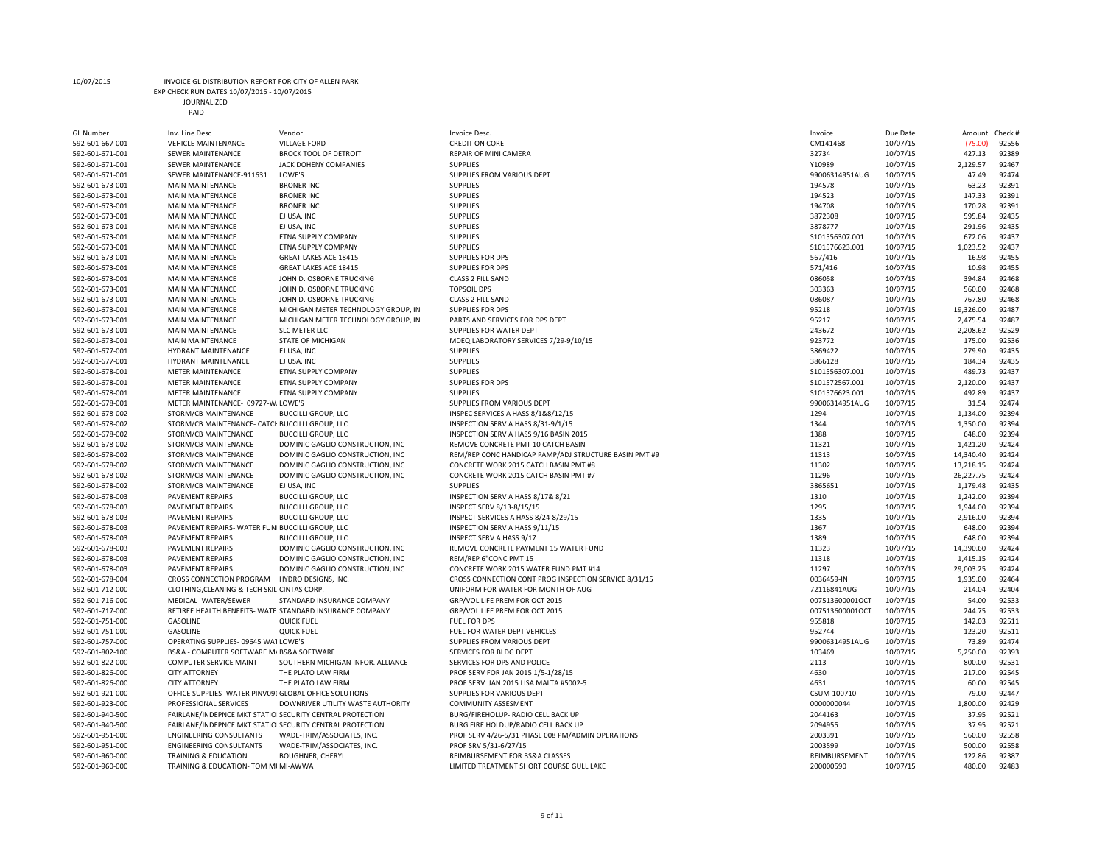EXP CHECK RUN DATES 10/07/2015 - 10/07/2015

| <b>GL Number</b> | Inv. Line Desc                                         | Vendor                                                    | Invoice Desc.                                         | Invoice         | Due Date | Amount    | Check # |
|------------------|--------------------------------------------------------|-----------------------------------------------------------|-------------------------------------------------------|-----------------|----------|-----------|---------|
| 592-601-667-001  | <b>VEHICLE MAINTENANCE</b>                             | <b>VILLAGE FORD</b>                                       | <b>CREDIT ON CORE</b>                                 | CM141468        | 10/07/15 | (75.00)   | 92556   |
| 592-601-671-001  | <b>SEWER MAINTENANCE</b>                               | <b>BROCK TOOL OF DETROIT</b>                              | REPAIR OF MINI CAMERA                                 | 32734           | 10/07/15 | 427.13    | 92389   |
| 592-601-671-001  | SEWER MAINTENANCE                                      | JACK DOHENY COMPANIES                                     | <b>SUPPLIES</b>                                       | Y10989          | 10/07/15 | 2,129.57  | 92467   |
| 592-601-671-001  | SEWER MAINTENANCE-911631                               | LOWE'S                                                    | SUPPLIES FROM VARIOUS DEPT                            | 99006314951AUG  | 10/07/15 | 47.49     | 92474   |
| 592-601-673-001  | <b>MAIN MAINTENANCE</b>                                | <b>BRONER INC</b>                                         | <b>SUPPLIES</b>                                       | 194578          | 10/07/15 | 63.23     | 92391   |
| 592-601-673-001  | <b>MAIN MAINTENANCE</b>                                | <b>BRONER INC</b>                                         | <b>SUPPLIES</b>                                       | 194523          | 10/07/15 | 147.33    | 92391   |
| 592-601-673-001  | <b>MAIN MAINTENANCE</b>                                | <b>BRONER INC</b>                                         | <b>SUPPLIES</b>                                       | 194708          | 10/07/15 | 170.28    | 92391   |
| 592-601-673-001  | <b>MAIN MAINTENANCE</b>                                | EJ USA, INC                                               | <b>SUPPLIES</b>                                       | 3872308         | 10/07/15 | 595.84    | 92435   |
| 592-601-673-001  | <b>MAIN MAINTENANCE</b>                                | EJ USA, INC                                               | <b>SUPPLIES</b>                                       | 3878777         | 10/07/15 | 291.96    | 92435   |
| 592-601-673-001  | <b>MAIN MAINTENANCE</b>                                | ETNA SUPPLY COMPANY                                       | <b>SUPPLIES</b>                                       | \$101556307.001 | 10/07/15 | 672.06    | 92437   |
| 592-601-673-001  | <b>MAIN MAINTENANCE</b>                                | ETNA SUPPLY COMPANY                                       | <b>SUPPLIES</b>                                       | S101576623.001  | 10/07/15 | 1,023.52  | 92437   |
| 592-601-673-001  | <b>MAIN MAINTENANCE</b>                                | GREAT LAKES ACE 18415                                     | <b>SUPPLIES FOR DPS</b>                               | 567/416         | 10/07/15 | 16.98     | 92455   |
| 592-601-673-001  | <b>MAIN MAINTENANCE</b>                                | GREAT LAKES ACE 18415                                     | <b>SUPPLIES FOR DPS</b>                               | 571/416         | 10/07/15 | 10.98     | 92455   |
| 592-601-673-001  | <b>MAIN MAINTENANCE</b>                                | JOHN D. OSBORNE TRUCKING                                  | CLASS 2 FILL SAND                                     | 086058          | 10/07/15 | 394.84    | 92468   |
| 592-601-673-001  | <b>MAIN MAINTENANCE</b>                                | JOHN D. OSBORNE TRUCKING                                  | <b>TOPSOIL DPS</b>                                    | 303363          | 10/07/15 | 560.00    | 92468   |
| 592-601-673-001  | <b>MAIN MAINTENANCE</b>                                | JOHN D. OSBORNE TRUCKING                                  | CLASS 2 FILL SAND                                     | 086087          | 10/07/15 | 767.80    | 92468   |
| 592-601-673-001  | <b>MAIN MAINTENANCE</b>                                | MICHIGAN METER TECHNOLOGY GROUP, IN                       | <b>SUPPLIES FOR DPS</b>                               | 95218           | 10/07/15 | 19,326.00 | 92487   |
| 592-601-673-001  | <b>MAIN MAINTENANCE</b>                                | MICHIGAN METER TECHNOLOGY GROUP, IN                       | PARTS AND SERVICES FOR DPS DEPT                       | 95217           | 10/07/15 | 2,475.54  | 92487   |
| 592-601-673-001  | <b>MAIN MAINTENANCE</b>                                | <b>SLC METER LLC</b>                                      | SUPPLIES FOR WATER DEPT                               | 243672          | 10/07/15 | 2,208.62  | 92529   |
| 592-601-673-001  | <b>MAIN MAINTENANCE</b>                                | STATE OF MICHIGAN                                         | MDEQ LABORATORY SERVICES 7/29-9/10/15                 | 923772          | 10/07/15 | 175.00    | 92536   |
| 592-601-677-001  | <b>HYDRANT MAINTENANCE</b>                             | EJ USA, INC                                               | <b>SUPPLIES</b>                                       | 3869422         | 10/07/15 | 279.90    | 92435   |
| 592-601-677-001  | <b>HYDRANT MAINTENANCE</b>                             | EJ USA, INC                                               | <b>SUPPLIES</b>                                       | 3866128         | 10/07/15 | 184.34    | 92435   |
| 592-601-678-001  | METER MAINTENANCE                                      | ETNA SUPPLY COMPANY                                       | <b>SUPPLIES</b>                                       | \$101556307.001 | 10/07/15 | 489.73    | 92437   |
| 592-601-678-001  | <b>METER MAINTENANCE</b>                               | ETNA SUPPLY COMPANY                                       | <b>SUPPLIES FOR DPS</b>                               | S101572567.001  | 10/07/15 | 2,120.00  | 92437   |
| 592-601-678-001  | METER MAINTENANCE                                      | ETNA SUPPLY COMPANY                                       | <b>SUPPLIES</b>                                       | S101576623.001  | 10/07/15 | 492.89    | 92437   |
| 592-601-678-001  | METER MAINTENANCE- 09727-W. LOWE'S                     |                                                           | SUPPLIES FROM VARIOUS DEPT                            | 99006314951AUG  | 10/07/15 | 31.54     | 92474   |
| 592-601-678-002  | STORM/CB MAINTENANCE                                   | <b>BUCCILLI GROUP, LLC</b>                                | INSPEC SERVICES A HASS 8/1&8/12/15                    | 1294            | 10/07/15 | 1,134.00  | 92394   |
| 592-601-678-002  | STORM/CB MAINTENANCE- CATCI BUCCILLI GROUP, LLC        |                                                           | INSPECTION SERV A HASS 8/31-9/1/15                    | 1344            | 10/07/15 | 1,350.00  | 92394   |
|                  | STORM/CB MAINTENANCE                                   | <b>BUCCILLI GROUP, LLC</b>                                | INSPECTION SERV A HASS 9/16 BASIN 2015                | 1388            |          |           | 92394   |
| 592-601-678-002  |                                                        |                                                           | REMOVE CONCRETE PMT 10 CATCH BASIN                    | 11321           | 10/07/15 | 648.00    | 92424   |
| 592-601-678-002  | STORM/CB MAINTENANCE                                   | DOMINIC GAGLIO CONSTRUCTION, INC                          |                                                       |                 | 10/07/15 | 1,421.20  | 92424   |
| 592-601-678-002  | STORM/CB MAINTENANCE                                   | DOMINIC GAGLIO CONSTRUCTION, INC                          | REM/REP CONC HANDICAP PAMP/ADJ STRUCTURE BASIN PMT #9 | 11313           | 10/07/15 | 14,340.40 |         |
| 592-601-678-002  | STORM/CB MAINTENANCE                                   | DOMINIC GAGLIO CONSTRUCTION, INC                          | CONCRETE WORK 2015 CATCH BASIN PMT #8                 | 11302           | 10/07/15 | 13,218.15 | 92424   |
| 592-601-678-002  | STORM/CB MAINTENANCE                                   | DOMINIC GAGLIO CONSTRUCTION, INC                          | CONCRETE WORK 2015 CATCH BASIN PMT #7                 | 11296           | 10/07/15 | 26,227.75 | 92424   |
| 592-601-678-002  | STORM/CB MAINTENANCE                                   | EJ USA. INC                                               | <b>SUPPLIES</b>                                       | 3865651         | 10/07/15 | 1,179.48  | 92435   |
| 592-601-678-003  | <b>PAVEMENT REPAIRS</b>                                | <b>BUCCILLI GROUP, LLC</b>                                | INSPECTION SERV A HASS 8/17& 8/21                     | 1310            | 10/07/15 | 1,242.00  | 92394   |
| 592-601-678-003  | <b>PAVEMENT REPAIRS</b>                                | <b>BUCCILLI GROUP, LLC</b>                                | INSPECT SERV 8/13-8/15/15                             | 1295            | 10/07/15 | 1,944.00  | 92394   |
| 592-601-678-003  | <b>PAVEMENT REPAIRS</b>                                | <b>BUCCILLI GROUP, LLC</b>                                | INSPECT SERVICES A HASS 8/24-8/29/15                  | 1335            | 10/07/15 | 2,916.00  | 92394   |
| 592-601-678-003  | PAVEMENT REPAIRS- WATER FUNI BUCCILLI GROUP, LLC       |                                                           | INSPECTION SERV A HASS 9/11/15                        | 1367            | 10/07/15 | 648.00    | 92394   |
| 592-601-678-003  | <b>PAVEMENT REPAIRS</b>                                | <b>BUCCILLI GROUP, LLC</b>                                | INSPECT SERV A HASS 9/17                              | 1389            | 10/07/15 | 648.00    | 92394   |
| 592-601-678-003  | <b>PAVEMENT REPAIRS</b>                                | DOMINIC GAGLIO CONSTRUCTION, INC                          | REMOVE CONCRETE PAYMENT 15 WATER FUND                 | 11323           | 10/07/15 | 14,390.60 | 92424   |
| 592-601-678-003  | <b>PAVEMENT REPAIRS</b>                                | DOMINIC GAGLIO CONSTRUCTION, INC                          | REM/REP 6"CONC PMT 15                                 | 11318           | 10/07/15 | 1,415.15  | 92424   |
| 592-601-678-003  | <b>PAVEMENT REPAIRS</b>                                | DOMINIC GAGLIO CONSTRUCTION, INC                          | CONCRETE WORK 2015 WATER FUND PMT #14                 | 11297           | 10/07/15 | 29,003.25 | 92424   |
| 592-601-678-004  | CROSS CONNECTION PROGRAM                               | HYDRO DESIGNS, INC.                                       | CROSS CONNECTION CONT PROG INSPECTION SERVICE 8/31/15 | 0036459-IN      | 10/07/15 | 1,935.00  | 92464   |
| 592-601-712-000  | CLOTHING, CLEANING & TECH SKIL CINTAS CORP.            |                                                           | UNIFORM FOR WATER FOR MONTH OF AUG                    | 72116841AUG     | 10/07/15 | 214.04    | 92404   |
| 592-601-716-000  | MEDICAL-WATER/SEWER                                    | STANDARD INSURANCE COMPANY                                | GRP/VOL LIFE PREM FOR OCT 2015                        | 007513600001OCT | 10/07/15 | 54.00     | 92533   |
| 592-601-717-000  |                                                        | RETIREE HEALTH BENEFITS- WATE STANDARD INSURANCE COMPANY  | GRP/VOL LIFE PREM FOR OCT 2015                        | 007513600001OCT | 10/07/15 | 244.75    | 92533   |
| 592-601-751-000  | <b>GASOLINE</b>                                        | <b>QUICK FUEL</b>                                         | <b>FUEL FOR DPS</b>                                   | 955818          | 10/07/15 | 142.03    | 92511   |
| 592-601-751-000  | <b>GASOLINE</b>                                        | <b>QUICK FUEL</b>                                         | FUEL FOR WATER DEPT VEHICLES                          | 952744          | 10/07/15 | 123.20    | 92511   |
| 592-601-757-000  | OPERATING SUPPLIES-09645 WAT LOWE'S                    |                                                           | SUPPLIES FROM VARIOUS DEPT                            | 99006314951AUG  | 10/07/15 | 73.89     | 92474   |
| 592-601-802-100  | BS&A - COMPUTER SOFTWARE M/ BS&A SOFTWARE              |                                                           | SERVICES FOR BLDG DEPT                                | 103469          | 10/07/15 | 5,250.00  | 92393   |
| 592-601-822-000  | COMPUTER SERVICE MAINT                                 | SOUTHERN MICHIGAN INFOR. ALLIANCE                         | SERVICES FOR DPS AND POLICE                           | 2113            | 10/07/15 | 800.00    | 92531   |
| 592-601-826-000  | <b>CITY ATTORNEY</b>                                   | THE PLATO LAW FIRM                                        | PROF SERV FOR JAN 2015 1/5-1/28/15                    | 4630            | 10/07/15 | 217.00    | 92545   |
| 592-601-826-000  | <b>CITY ATTORNEY</b>                                   | THE PLATO LAW FIRM                                        | PROF SERV JAN 2015 LISA MALTA #5002-5                 | 4631            | 10/07/15 | 60.00     | 92545   |
| 592-601-921-000  | OFFICE SUPPLIES- WATER PINV091 GLOBAL OFFICE SOLUTIONS |                                                           | SUPPLIES FOR VARIOUS DEPT                             | CSUM-100710     | 10/07/15 | 79.00     | 92447   |
| 592-601-923-000  | PROFESSIONAL SERVICES                                  | DOWNRIVER UTILITY WASTE AUTHORITY                         | <b>COMMUNITY ASSESMENT</b>                            | 0000000044      | 10/07/15 | 1,800.00  | 92429   |
| 592-601-940-500  |                                                        | FAIRLANE/INDEPNCE MKT STATIOI SECURITY CENTRAL PROTECTION | BURG/FIREHOLUP- RADIO CELL BACK UP                    | 2044163         | 10/07/15 | 37.95     | 92521   |
| 592-601-940-500  |                                                        | FAIRLANE/INDEPNCE MKT STATIOI SECURITY CENTRAL PROTECTION | BURG FIRE HOLDUP/RADIO CELL BACK UP                   | 2094955         | 10/07/15 | 37.95     | 92521   |
| 592-601-951-000  | <b>ENGINEERING CONSULTANTS</b>                         | WADE-TRIM/ASSOCIATES, INC.                                | PROF SERV 4/26-5/31 PHASE 008 PM/ADMIN OPERATIONS     | 2003391         | 10/07/15 | 560.00    | 92558   |
| 592-601-951-000  | <b>ENGINEERING CONSULTANTS</b>                         | WADE-TRIM/ASSOCIATES, INC.                                | PROF SRV 5/31-6/27/15                                 | 2003599         | 10/07/15 | 500.00    | 92558   |
| 592-601-960-000  | TRAINING & EDUCATION                                   | <b>BOUGHNER, CHERYL</b>                                   | REIMBURSEMENT FOR BS&A CLASSES                        | REIMBURSEMENT   | 10/07/15 | 122.86    | 92387   |
| 592-601-960-000  | TRAINING & EDUCATION- TOM MI MI-AWWA                   |                                                           | LIMITED TREATMENT SHORT COURSE GULL LAKE              | 200000590       | 10/07/15 | 480.00    | 92483   |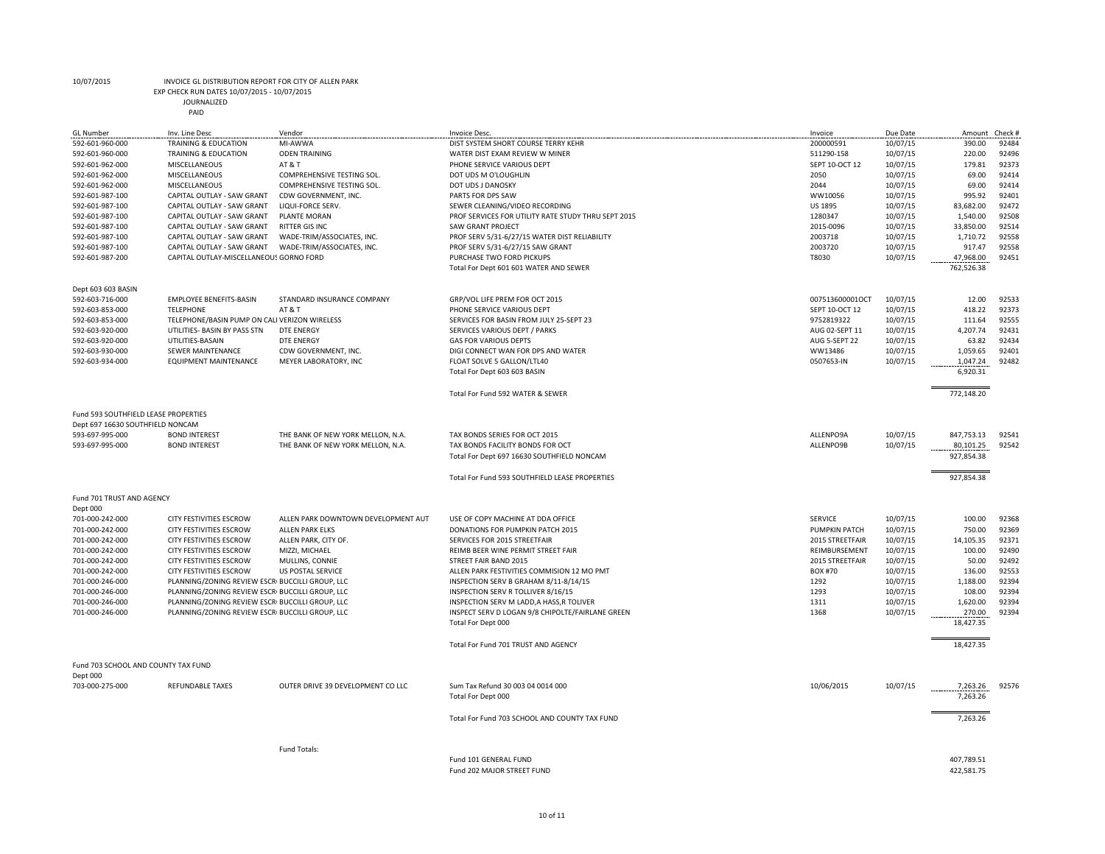EXP CHECK RUN DATES 10/07/2015 - 10/07/2015

| <b>GL Number</b>                                | Inv. Line Desc                                   | Vendor                              | Invoice Desc.                                       | Invoice         | Due Date | Amount     | Check # |
|-------------------------------------------------|--------------------------------------------------|-------------------------------------|-----------------------------------------------------|-----------------|----------|------------|---------|
| 592-601-960-000                                 | TRAINING & EDUCATION                             | MI-AWWA                             | DIST SYSTEM SHORT COURSE TERRY KEHR                 | 200000591       | 10/07/15 | 390.00     | 92484   |
| 592-601-960-000                                 | TRAINING & EDUCATION                             | <b>ODEN TRAINING</b>                | WATER DIST EXAM REVIEW W MINER                      | 511290-158      | 10/07/15 | 220.00     | 92496   |
| 592-601-962-000                                 | MISCELLANEOUS                                    | AT&T                                | PHONE SERVICE VARIOUS DEPT                          | SEPT 10-OCT 12  | 10/07/15 | 179.81     | 92373   |
| 592-601-962-000                                 | <b>MISCELLANEOUS</b>                             | COMPREHENSIVE TESTING SOL.          | DOT UDS M O'LOUGHLIN                                | 2050            | 10/07/15 | 69.00      | 92414   |
| 592-601-962-000                                 | MISCELLANEOUS                                    | COMPREHENSIVE TESTING SOL.          | DOT UDS J DANOSKY                                   | 2044            | 10/07/15 | 69.00      | 92414   |
| 592-601-987-100                                 | CAPITAL OUTLAY - SAW GRANT                       | CDW GOVERNMENT, INC.                | PARTS FOR DPS SAW                                   | WW10056         | 10/07/15 | 995.92     | 92401   |
| 592-601-987-100                                 | CAPITAL OUTLAY - SAW GRANT                       | LIQUI-FORCE SERV.                   | SEWER CLEANING/VIDEO RECORDING                      | <b>US 1895</b>  | 10/07/15 | 83,682.00  | 92472   |
| 592-601-987-100                                 | CAPITAL OUTLAY - SAW GRANT                       | <b>PLANTE MORAN</b>                 | PROF SERVICES FOR UTILITY RATE STUDY THRU SEPT 2015 | 1280347         | 10/07/15 | 1,540.00   | 92508   |
| 592-601-987-100                                 | CAPITAL OUTLAY - SAW GRANT                       | <b>RITTER GIS INC</b>               | <b>SAW GRANT PROJECT</b>                            | 2015-0096       | 10/07/15 | 33,850.00  | 92514   |
| 592-601-987-100                                 | CAPITAL OUTLAY - SAW GRANT                       | WADE-TRIM/ASSOCIATES, INC.          | PROF SERV 5/31-6/27/15 WATER DIST RELIABILITY       | 2003718         | 10/07/15 | 1,710.72   | 92558   |
| 592-601-987-100                                 | CAPITAL OUTLAY - SAW GRANT                       | WADE-TRIM/ASSOCIATES, INC.          | PROF SERV 5/31-6/27/15 SAW GRANT                    | 2003720         | 10/07/15 | 917.47     | 92558   |
| 592-601-987-200                                 | CAPITAL OUTLAY-MISCELLANEOUS GORNO FORD          |                                     | PURCHASE TWO FORD PICKUPS                           | T8030           | 10/07/15 | 47,968.00  | 92451   |
|                                                 |                                                  |                                     | Total For Dept 601 601 WATER AND SEWER              |                 |          | 762,526.38 |         |
|                                                 |                                                  |                                     |                                                     |                 |          |            |         |
| Dept 603 603 BASIN                              |                                                  |                                     |                                                     |                 |          |            |         |
| 592-603-716-000                                 | <b>EMPLOYEE BENEFITS-BASIN</b>                   | STANDARD INSURANCE COMPANY          | GRP/VOL LIFE PREM FOR OCT 2015                      | 007513600001OCT | 10/07/15 | 12.00      | 92533   |
| 592-603-853-000                                 | <b>TELEPHONE</b>                                 | AT&T                                | PHONE SERVICE VARIOUS DEPT                          | SEPT 10-OCT 12  | 10/07/15 | 418.22     | 92373   |
| 592-603-853-000                                 | TELEPHONE/BASIN PUMP ON CALI VERIZON WIRELESS    |                                     | SERVICES FOR BASIN FROM JULY 25-SEPT 23             | 9752819322      | 10/07/15 | 111.64     | 92555   |
| 592-603-920-000                                 | UTILITIES- BASIN BY PASS STN                     | <b>DTE ENERGY</b>                   | SERVICES VARIOUS DEPT / PARKS                       | AUG 02-SEPT 11  | 10/07/15 | 4,207.74   | 92431   |
| 592-603-920-000                                 | UTILITIES-BASAIN                                 | <b>DTE ENERGY</b>                   | <b>GAS FOR VARIOUS DEPTS</b>                        | AUG 5-SEPT 22   | 10/07/15 | 63.82      | 92434   |
| 592-603-930-000                                 | SEWER MAINTENANCE                                | CDW GOVERNMENT, INC.                | DIGI CONNECT WAN FOR DPS AND WATER                  | WW13486         | 10/07/15 | 1,059.65   | 92401   |
| 592-603-934-000                                 | <b>EQUIPMENT MAINTENANCE</b>                     | MEYER LABORATORY, INC               | FLOAT SOLVE 5 GALLON/LTL40                          | 0507653-IN      | 10/07/15 | 1,047.24   | 92482   |
|                                                 |                                                  |                                     | Total For Dept 603 603 BASIN                        |                 |          | 6,920.31   |         |
|                                                 |                                                  |                                     | Total For Fund 592 WATER & SEWER                    |                 |          | 772,148.20 |         |
| Fund 593 SOUTHFIELD LEASE PROPERTIES            |                                                  |                                     |                                                     |                 |          |            |         |
| Dept 697 16630 SOUTHFIELD NONCAM                |                                                  |                                     |                                                     |                 |          |            |         |
|                                                 |                                                  |                                     |                                                     |                 |          |            |         |
| 593-697-995-000                                 | <b>BOND INTEREST</b>                             | THE BANK OF NEW YORK MELLON, N.A.   | TAX BONDS SERIES FOR OCT 2015                       | ALLENPO9A       | 10/07/15 | 847,753.13 | 92541   |
| 593-697-995-000                                 | <b>BOND INTEREST</b>                             | THE BANK OF NEW YORK MELLON, N.A.   | TAX BONDS FACILITY BONDS FOR OCT                    | ALLENPO9B       | 10/07/15 | 80,101.25  | 92542   |
|                                                 |                                                  |                                     | Total For Dept 697 16630 SOUTHFIELD NONCAM          |                 |          | 927,854.38 |         |
|                                                 |                                                  |                                     | Total For Fund 593 SOUTHFIELD LEASE PROPERTIES      |                 |          | 927,854.38 |         |
| Fund 701 TRUST AND AGENCY                       |                                                  |                                     |                                                     |                 |          |            |         |
| Dept 000                                        |                                                  |                                     |                                                     |                 |          |            |         |
| 701-000-242-000                                 | <b>CITY FESTIVITIES ESCROW</b>                   | ALLEN PARK DOWNTOWN DEVELOPMENT AUT | USE OF COPY MACHINE AT DDA OFFICE                   | <b>SERVICE</b>  | 10/07/15 | 100.00     | 92368   |
| 701-000-242-000                                 | CITY FESTIVITIES ESCROW                          | ALLEN PARK ELKS                     | DONATIONS FOR PUMPKIN PATCH 2015                    | PUMPKIN PATCH   | 10/07/15 | 750.00     | 92369   |
| 701-000-242-000                                 | CITY FESTIVITIES ESCROW                          | ALLEN PARK, CITY OF.                | SERVICES FOR 2015 STREETFAIR                        | 2015 STREETFAIR | 10/07/15 | 14,105.35  | 92371   |
| 701-000-242-000                                 | <b>CITY FESTIVITIES ESCROW</b>                   | MIZZI, MICHAEL                      | REIMB BEER WINE PERMIT STREET FAIR                  | REIMBURSEMENT   | 10/07/15 | 100.00     | 92490   |
| 701-000-242-000                                 | CITY FESTIVITIES ESCROW                          | MULLINS, CONNIE                     | STREET FAIR BAND 2015                               | 2015 STREETFAIR | 10/07/15 | 50.00      | 92492   |
| 701-000-242-000                                 | CITY FESTIVITIES ESCROW                          | US POSTAL SERVICE                   | ALLEN PARK FESTIVITIES COMMISION 12 MO PMT          | <b>BOX #70</b>  | 10/07/15 | 136.00     | 92553   |
| 701-000-246-000                                 | PLANNING/ZONING REVIEW ESCRI BUCCILLI GROUP, LLC |                                     | INSPECTION SERV B GRAHAM 8/11-8/14/15               | 1292            | 10/07/15 | 1,188.00   | 92394   |
| 701-000-246-000                                 | PLANNING/ZONING REVIEW ESCRI BUCCILLI GROUP, LLC |                                     | INSPECTION SERV R TOLLIVER 8/16/15                  | 1293            | 10/07/15 | 108.00     | 92394   |
| 701-000-246-000                                 | PLANNING/ZONING REVIEW ESCRI BUCCILLI GROUP, LLC |                                     | INSPECTION SERV M LADD, A HASS, R TOLIVER           | 1311            | 10/07/15 | 1,620.00   | 92394   |
| 701-000-246-000                                 | PLANNING/ZONING REVIEW ESCRI BUCCILLI GROUP, LLC |                                     | INSPECT SERV D LOGAN 9/8 CHIPOLTE/FAIRLANE GREEN    | 1368            | 10/07/15 | 270.00     | 92394   |
|                                                 |                                                  |                                     | Total For Dept 000                                  |                 |          | 18,427.35  |         |
|                                                 |                                                  |                                     |                                                     |                 |          |            |         |
|                                                 |                                                  |                                     | Total For Fund 701 TRUST AND AGENCY                 |                 |          | 18,427.35  |         |
| Fund 703 SCHOOL AND COUNTY TAX FUND<br>Dept 000 |                                                  |                                     |                                                     |                 |          |            |         |
| 703-000-275-000                                 | <b>REFUNDABLE TAXES</b>                          | OUTER DRIVE 39 DEVELOPMENT CO LLC   | Sum Tax Refund 30 003 04 0014 000                   | 10/06/2015      | 10/07/15 | 7,263.26   | 92576   |
|                                                 |                                                  |                                     | Total For Dept 000                                  |                 |          | 7,263.26   |         |
|                                                 |                                                  |                                     | Total For Fund 703 SCHOOL AND COUNTY TAX FUND       |                 |          | 7,263.26   |         |
|                                                 |                                                  |                                     |                                                     |                 |          |            |         |
|                                                 |                                                  | Fund Totals:                        |                                                     |                 |          |            |         |
|                                                 |                                                  |                                     | Fund 101 GENERAL FUND                               |                 |          | 407,789.51 |         |
|                                                 |                                                  |                                     | Fund 202 MAJOR STREET FUND                          |                 |          | 422,581.75 |         |